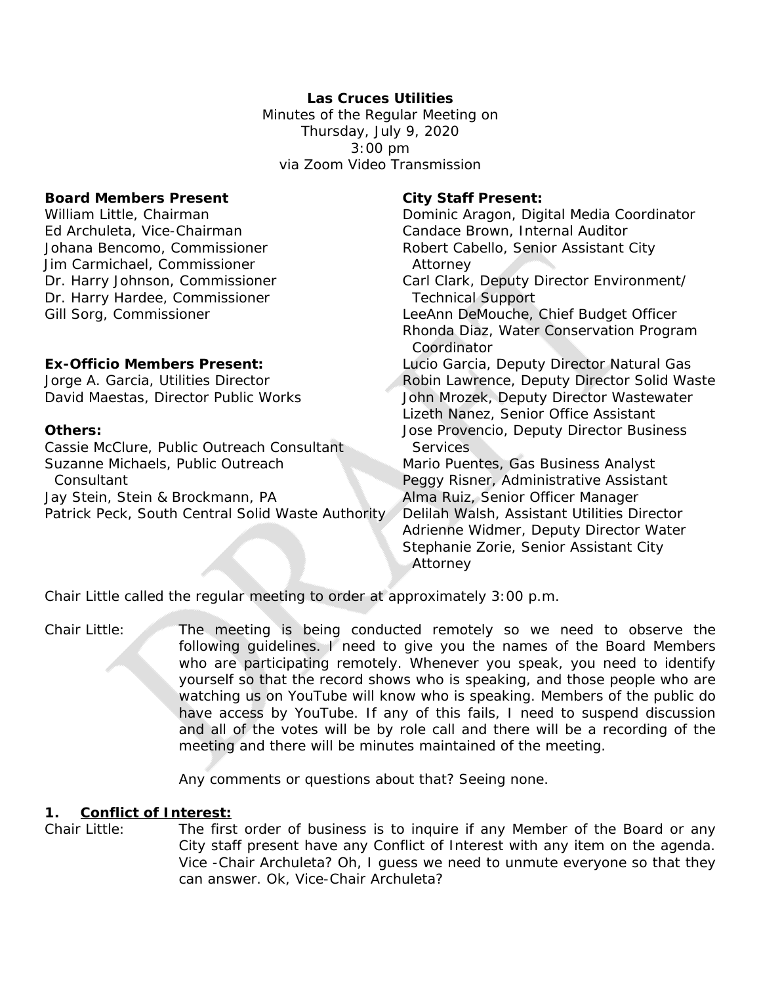# **Las Cruces Utilities**

Minutes of the Regular Meeting on Thursday, July 9, 2020 3:00 pm via Zoom Video Transmission

### **Board Members Present City Staff Present:**

Ed Archuleta, Vice-Chairman and Candace Brown, Internal Auditor Jim Carmichael, Commissioner **Attorney** Dr. Harry Hardee, Commissioner Technical Support

Cassie McClure, Public Outreach Consultant Services Suzanne Michaels, Public Outreach Mario Puentes, Gas Business Analyst Consultant Peggy Risner, Administrative Assistant Jay Stein, Stein & Brockmann, PA Alma Ruiz, Senior Officer Manager Patrick Peck, South Central Solid Waste Authority / Delilah Walsh, Assistant Utilities Director

William Little, Chairman **Dominic Aragon, Digital Media Coordinator** Dominic Aragon, Digital Media Coordinator Johana Bencomo, Commissioner **Robert Cabello, Senior Assistant City** Dr. Harry Johnson, Commissioner Carl Clark, Deputy Director Environment/ Gill Sorg, Commissioner **LeeAnn DeMouche, Chief Budget Officer** Rhonda Diaz, Water Conservation Program Coordinator **Ex-Officio Members Present:** Lucio Garcia, Deputy Director Natural Gas Jorge A. Garcia, Utilities Director **Robin Lawrence, Deputy Director Solid Waste** David Maestas, Director Public Works John Mrozek, Deputy Director Wastewater Lizeth Nanez, Senior Office Assistant **Others: Others: Jose Provencio, Deputy Director Business** Adrienne Widmer, Deputy Director Water Stephanie Zorie, Senior Assistant City Attorney

Chair Little called the regular meeting to order at approximately 3:00 p.m.

Chair Little: The meeting is being conducted remotely so we need to observe the following guidelines. I need to give you the names of the Board Members who are participating remotely. Whenever you speak, you need to identify yourself so that the record shows who is speaking, and those people who are watching us on YouTube will know who is speaking. Members of the public do have access by YouTube. If any of this fails, I need to suspend discussion and all of the votes will be by role call and there will be a recording of the meeting and there will be minutes maintained of the meeting.

Any comments or questions about that? Seeing none.

#### **1. Conflict of Interest:**

Chair Little: The first order of business is to inquire if any Member of the Board or any City staff present have any Conflict of Interest with any item on the agenda. Vice -Chair Archuleta? Oh, I guess we need to unmute everyone so that they can answer. Ok, Vice-Chair Archuleta?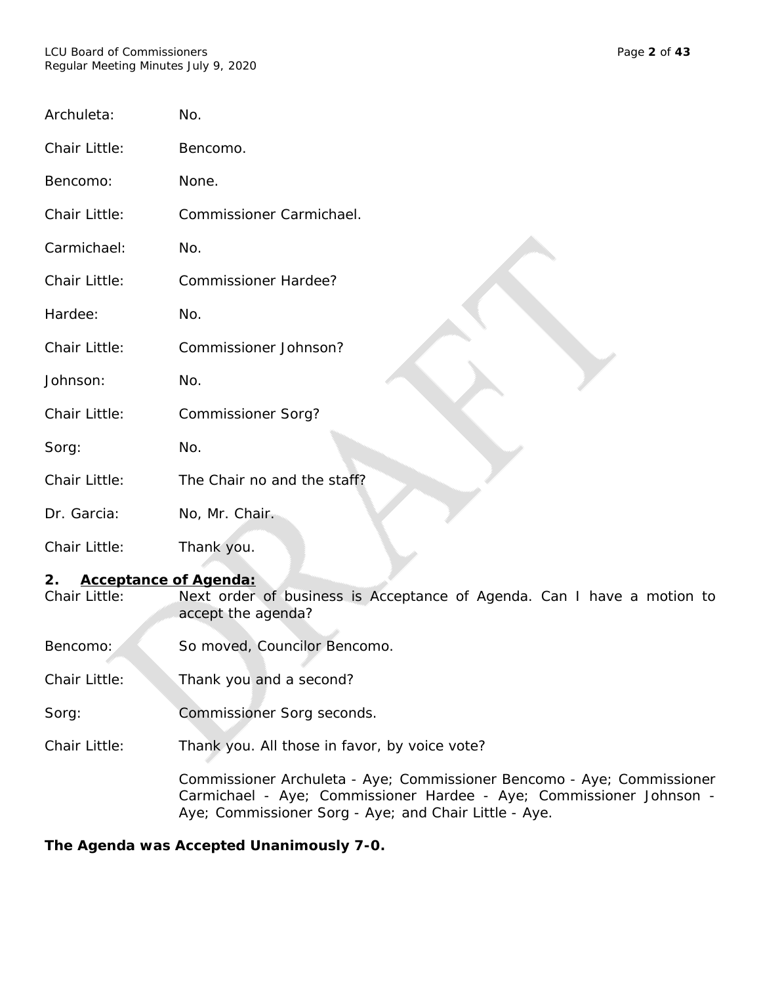| Archuleta:    | No.                         |
|---------------|-----------------------------|
| Chair Little: | Bencomo.                    |
| Bencomo:      | None.                       |
| Chair Little: | Commissioner Carmichael.    |
| Carmichael:   | No.                         |
| Chair Little: | Commissioner Hardee?        |
| Hardee:       | No.                         |
| Chair Little: | Commissioner Johnson?       |
| Johnson:      | No.                         |
| Chair Little: | Commissioner Sorg?          |
| Sorg:         | No.                         |
| Chair Little: | The Chair no and the staff? |
| Dr. Garcia:   | No, Mr. Chair.              |
| Chair Little: | Thank you.                  |

# **2. Acceptance of Agenda:**

Chair Little: Next order of business is Acceptance of Agenda. Can I have a motion to accept the agenda?

Bencomo: So moved, Councilor Bencomo.

Chair Little: Thank you and a second?

Sorg: Commissioner Sorg seconds.

Chair Little: Thank you. All those in favor, by voice vote?

Commissioner Archuleta - Aye; Commissioner Bencomo - Aye; Commissioner Carmichael - Aye; Commissioner Hardee - Aye; Commissioner Johnson - Aye; Commissioner Sorg - Aye; and Chair Little - Aye.

## **The Agenda was Accepted Unanimously 7-0.**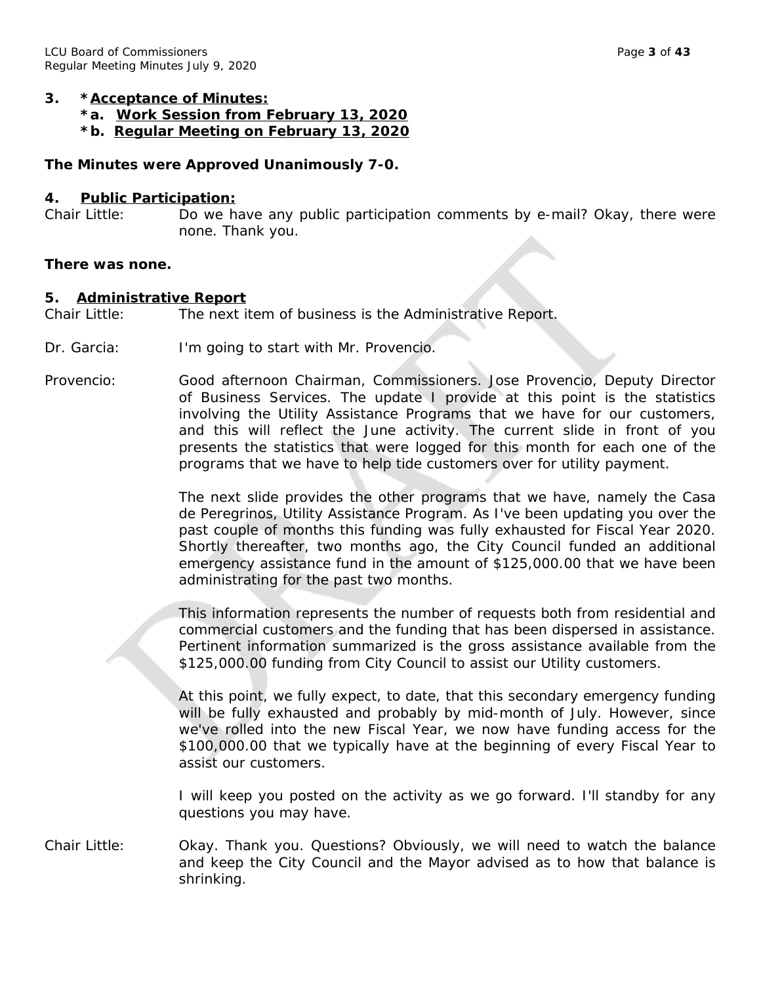#### **3. \*Acceptance of Minutes:**

- **\*a. Work Session from February 13, 2020**
- **\*b. Regular Meeting on February 13, 2020**

#### **The Minutes were Approved Unanimously 7-0.**

#### **4. Public Participation:**

Chair Little: Do we have any public participation comments by e-mail? Okay, there were none. Thank you.

#### **There was none.**

#### **5. Administrative Report**

Chair Little: The next item of business is the Administrative Report.

- Dr. Garcia: I'm going to start with Mr. Provencio.
- Provencio: Good afternoon Chairman, Commissioners. Jose Provencio, Deputy Director of Business Services. The update I provide at this point is the statistics involving the Utility Assistance Programs that we have for our customers, and this will reflect the June activity. The current slide in front of you presents the statistics that were logged for this month for each one of the programs that we have to help tide customers over for utility payment.

The next slide provides the other programs that we have, namely the Casa de Peregrinos, Utility Assistance Program. As I've been updating you over the past couple of months this funding was fully exhausted for Fiscal Year 2020. Shortly thereafter, two months ago, the City Council funded an additional emergency assistance fund in the amount of \$125,000.00 that we have been administrating for the past two months.

This information represents the number of requests both from residential and commercial customers and the funding that has been dispersed in assistance. Pertinent information summarized is the gross assistance available from the \$125,000.00 funding from City Council to assist our Utility customers.

At this point, we fully expect, to date, that this secondary emergency funding will be fully exhausted and probably by mid-month of July. However, since we've rolled into the new Fiscal Year, we now have funding access for the \$100,000.00 that we typically have at the beginning of every Fiscal Year to assist our customers.

I will keep you posted on the activity as we go forward. I'll standby for any questions you may have.

Chair Little: Okay. Thank you. Questions? Obviously, we will need to watch the balance and keep the City Council and the Mayor advised as to how that balance is shrinking.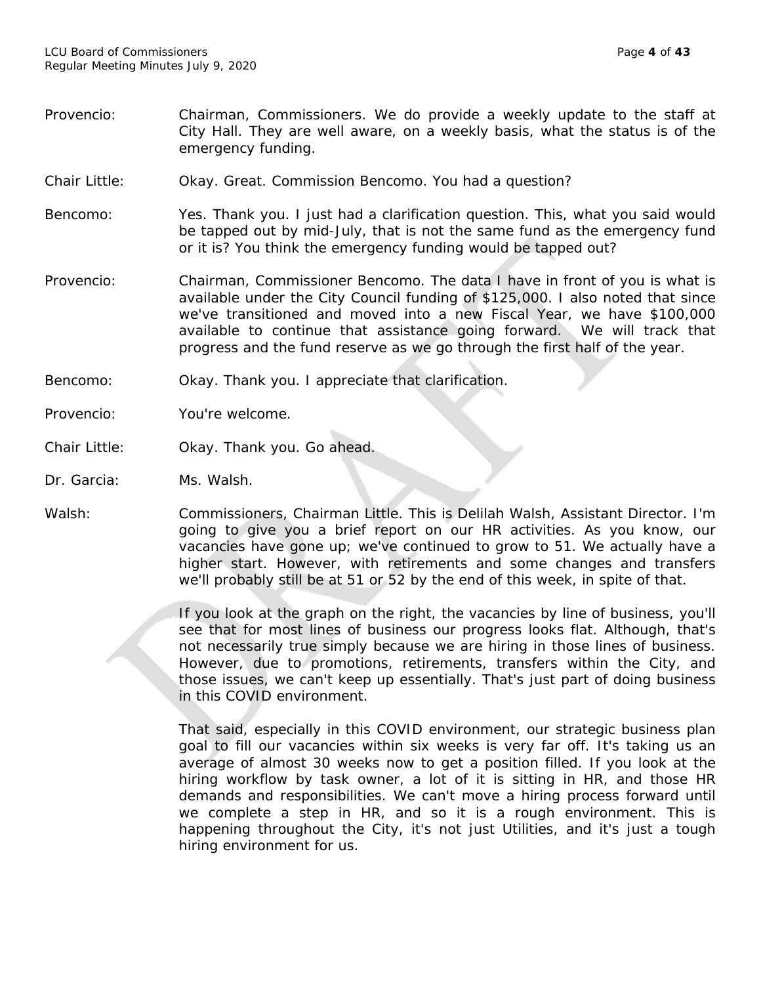- Provencio: Chairman, Commissioners. We do provide a weekly update to the staff at City Hall. They are well aware, on a weekly basis, what the status is of the emergency funding.
- Chair Little: Okay. Great. Commission Bencomo. You had a question?
- Bencomo: Yes. Thank you. I just had a clarification question. This, what you said would be tapped out by mid-July, that is not the same fund as the emergency fund or it is? You think the emergency funding would be tapped out?
- Provencio: Chairman, Commissioner Bencomo. The data I have in front of you is what is available under the City Council funding of \$125,000. I also noted that since we've transitioned and moved into a new Fiscal Year, we have \$100,000 available to continue that assistance going forward. We will track that progress and the fund reserve as we go through the first half of the year.
- Bencomo: Okay. Thank you. I appreciate that clarification.
- Provencio: You're welcome.
- Chair Little: Okay. Thank you. Go ahead.
- Dr. Garcia: Ms. Walsh.
- Walsh: Commissioners, Chairman Little. This is Delilah Walsh, Assistant Director. I'm going to give you a brief report on our HR activities. As you know, our vacancies have gone up; we've continued to grow to 51. We actually have a higher start. However, with retirements and some changes and transfers we'll probably still be at 51 or 52 by the end of this week, in spite of that.

If you look at the graph on the right, the vacancies by line of business, you'll see that for most lines of business our progress looks flat. Although, that's not necessarily true simply because we are hiring in those lines of business. However, due to promotions, retirements, transfers within the City, and those issues, we can't keep up essentially. That's just part of doing business in this COVID environment.

That said, especially in this COVID environment, our strategic business plan goal to fill our vacancies within six weeks is very far off. It's taking us an average of almost 30 weeks now to get a position filled. If you look at the hiring workflow by task owner, a lot of it is sitting in HR, and those HR demands and responsibilities. We can't move a hiring process forward until we complete a step in HR, and so it is a rough environment. This is happening throughout the City, it's not just Utilities, and it's just a tough hiring environment for us.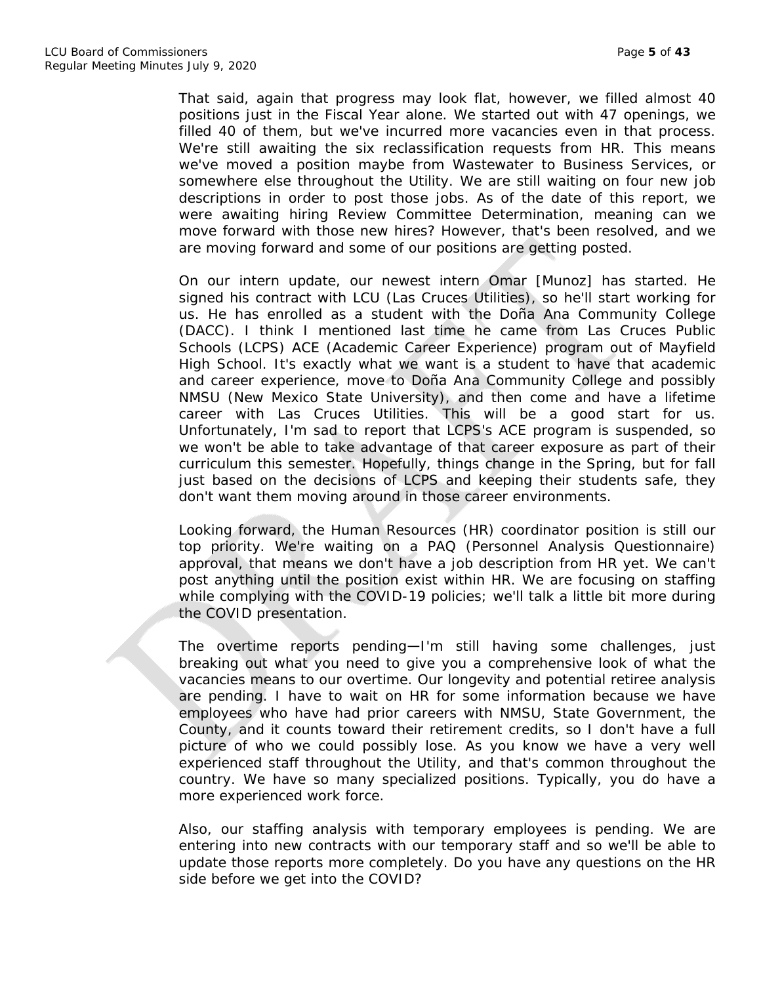That said, again that progress may look flat, however, we filled almost 40 positions just in the Fiscal Year alone. We started out with 47 openings, we filled 40 of them, but we've incurred more vacancies even in that process. We're still awaiting the six reclassification requests from HR. This means we've moved a position maybe from Wastewater to Business Services, or somewhere else throughout the Utility. We are still waiting on four new job descriptions in order to post those jobs. As of the date of this report, we were awaiting hiring Review Committee Determination, meaning can we move forward with those new hires? However, that's been resolved, and we are moving forward and some of our positions are getting posted.

On our intern update, our newest intern Omar [Munoz] has started. He signed his contract with LCU (Las Cruces Utilities), so he'll start working for us. He has enrolled as a student with the Doña Ana Community College (DACC). I think I mentioned last time he came from Las Cruces Public Schools (LCPS) ACE (Academic Career Experience) program out of Mayfield High School. It's exactly what we want is a student to have that academic and career experience, move to Doña Ana Community College and possibly NMSU (New Mexico State University), and then come and have a lifetime career with Las Cruces Utilities. This will be a good start for us. Unfortunately, I'm sad to report that LCPS's ACE program is suspended, so we won't be able to take advantage of that career exposure as part of their curriculum this semester. Hopefully, things change in the Spring, but for fall just based on the decisions of LCPS and keeping their students safe, they don't want them moving around in those career environments.

Looking forward, the Human Resources (HR) coordinator position is still our top priority. We're waiting on a PAQ (Personnel Analysis Questionnaire) approval, that means we don't have a job description from HR yet. We can't post anything until the position exist within HR. We are focusing on staffing while complying with the COVID-19 policies; we'll talk a little bit more during the COVID presentation.

The overtime reports pending—I'm still having some challenges, just breaking out what you need to give you a comprehensive look of what the vacancies means to our overtime. Our longevity and potential retiree analysis are pending. I have to wait on HR for some information because we have employees who have had prior careers with NMSU, State Government, the County, and it counts toward their retirement credits, so I don't have a full picture of who we could possibly lose. As you know we have a very well experienced staff throughout the Utility, and that's common throughout the country. We have so many specialized positions. Typically, you do have a more experienced work force.

Also, our staffing analysis with temporary employees is pending. We are entering into new contracts with our temporary staff and so we'll be able to update those reports more completely. Do you have any questions on the HR side before we get into the COVID?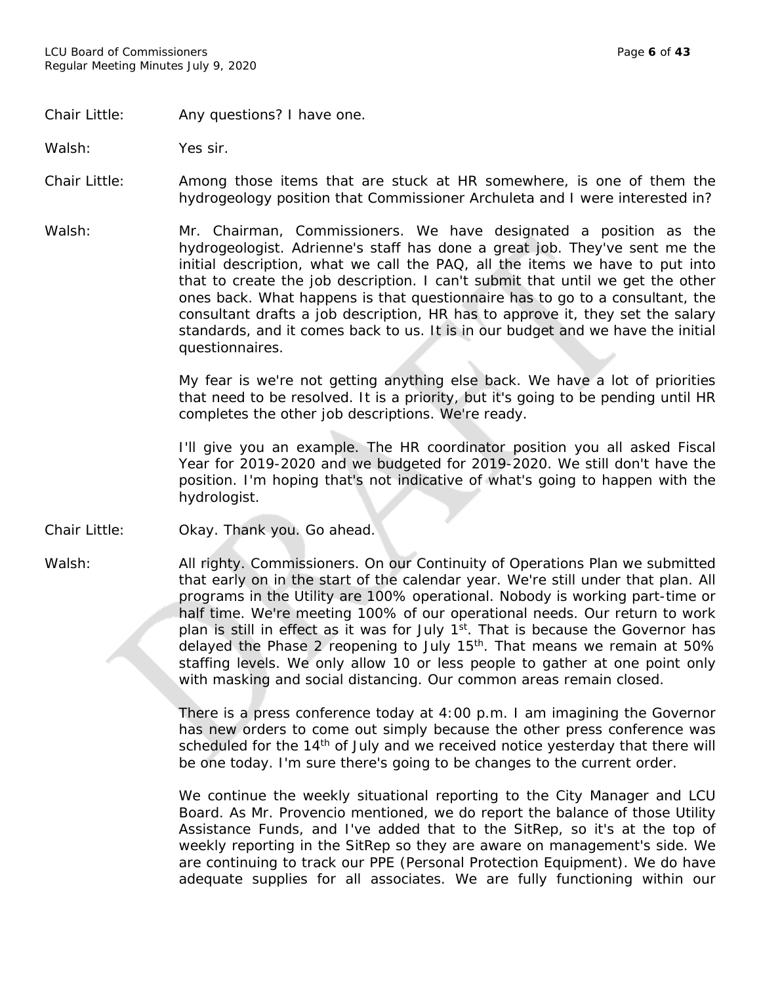#### Chair Little: Any questions? I have one.

Walsh: Yes sir.

Chair Little: Among those items that are stuck at HR somewhere, is one of them the hydrogeology position that Commissioner Archuleta and I were interested in?

Walsh: Mr. Chairman, Commissioners. We have designated a position as the hydrogeologist. Adrienne's staff has done a great job. They've sent me the initial description, what we call the PAQ, all the items we have to put into that to create the job description. I can't submit that until we get the other ones back. What happens is that questionnaire has to go to a consultant, the consultant drafts a job description, HR has to approve it, they set the salary standards, and it comes back to us. It is in our budget and we have the initial questionnaires.

> My fear is we're not getting anything else back. We have a lot of priorities that need to be resolved. It is a priority, but it's going to be pending until HR completes the other job descriptions. We're ready.

> I'll give you an example. The HR coordinator position you all asked Fiscal Year for 2019-2020 and we budgeted for 2019-2020. We still don't have the position. I'm hoping that's not indicative of what's going to happen with the hydrologist.

Chair Little: Okay. Thank you. Go ahead.

Walsh: All righty. Commissioners. On our Continuity of Operations Plan we submitted that early on in the start of the calendar year. We're still under that plan. All programs in the Utility are 100% operational. Nobody is working part-time or half time. We're meeting 100% of our operational needs. Our return to work plan is still in effect as it was for July 1<sup>st</sup>. That is because the Governor has delayed the Phase 2 reopening to July 15<sup>th</sup>. That means we remain at 50% staffing levels. We only allow 10 or less people to gather at one point only with masking and social distancing. Our common areas remain closed.

> There is a press conference today at 4:00 p.m. I am imagining the Governor has new orders to come out simply because the other press conference was scheduled for the 14<sup>th</sup> of July and we received notice yesterday that there will be one today. I'm sure there's going to be changes to the current order.

> We continue the weekly situational reporting to the City Manager and LCU Board. As Mr. Provencio mentioned, we do report the balance of those Utility Assistance Funds, and I've added that to the SitRep, so it's at the top of weekly reporting in the SitRep so they are aware on management's side. We are continuing to track our PPE (Personal Protection Equipment). We do have adequate supplies for all associates. We are fully functioning within our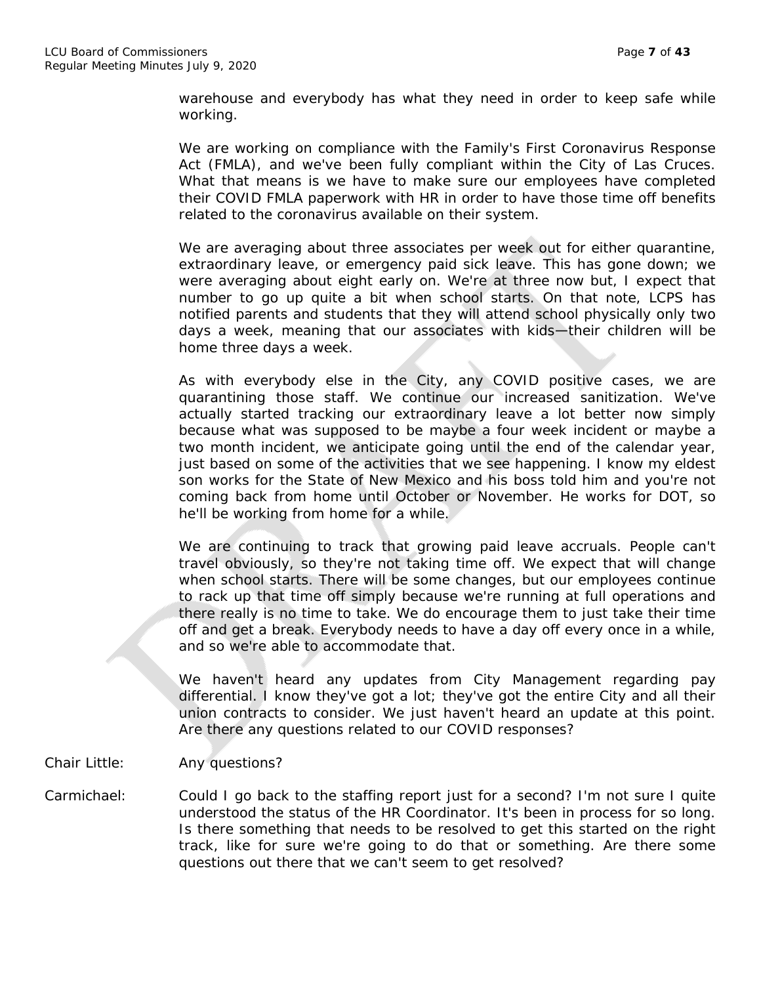warehouse and everybody has what they need in order to keep safe while working.

We are working on compliance with the Family's First Coronavirus Response Act (FMLA), and we've been fully compliant within the City of Las Cruces. What that means is we have to make sure our employees have completed their COVID FMLA paperwork with HR in order to have those time off benefits related to the coronavirus available on their system.

We are averaging about three associates per week out for either quarantine, extraordinary leave, or emergency paid sick leave. This has gone down; we were averaging about eight early on. We're at three now but, I expect that number to go up quite a bit when school starts. On that note, LCPS has notified parents and students that they will attend school physically only two days a week, meaning that our associates with kids—their children will be home three days a week.

As with everybody else in the City, any COVID positive cases, we are quarantining those staff. We continue our increased sanitization. We've actually started tracking our extraordinary leave a lot better now simply because what was supposed to be maybe a four week incident or maybe a two month incident, we anticipate going until the end of the calendar year, just based on some of the activities that we see happening. I know my eldest son works for the State of New Mexico and his boss told him and you're not coming back from home until October or November. He works for DOT, so he'll be working from home for a while.

We are continuing to track that growing paid leave accruals. People can't travel obviously, so they're not taking time off. We expect that will change when school starts. There will be some changes, but our employees continue to rack up that time off simply because we're running at full operations and there really is no time to take. We do encourage them to just take their time off and get a break. Everybody needs to have a day off every once in a while, and so we're able to accommodate that.

We haven't heard any updates from City Management regarding pay differential. I know they've got a lot; they've got the entire City and all their union contracts to consider. We just haven't heard an update at this point. Are there any questions related to our COVID responses?

- Chair Little: Any questions?
- Carmichael: Could I go back to the staffing report just for a second? I'm not sure I quite understood the status of the HR Coordinator. It's been in process for so long. Is there something that needs to be resolved to get this started on the right track, like for sure we're going to do that or something. Are there some questions out there that we can't seem to get resolved?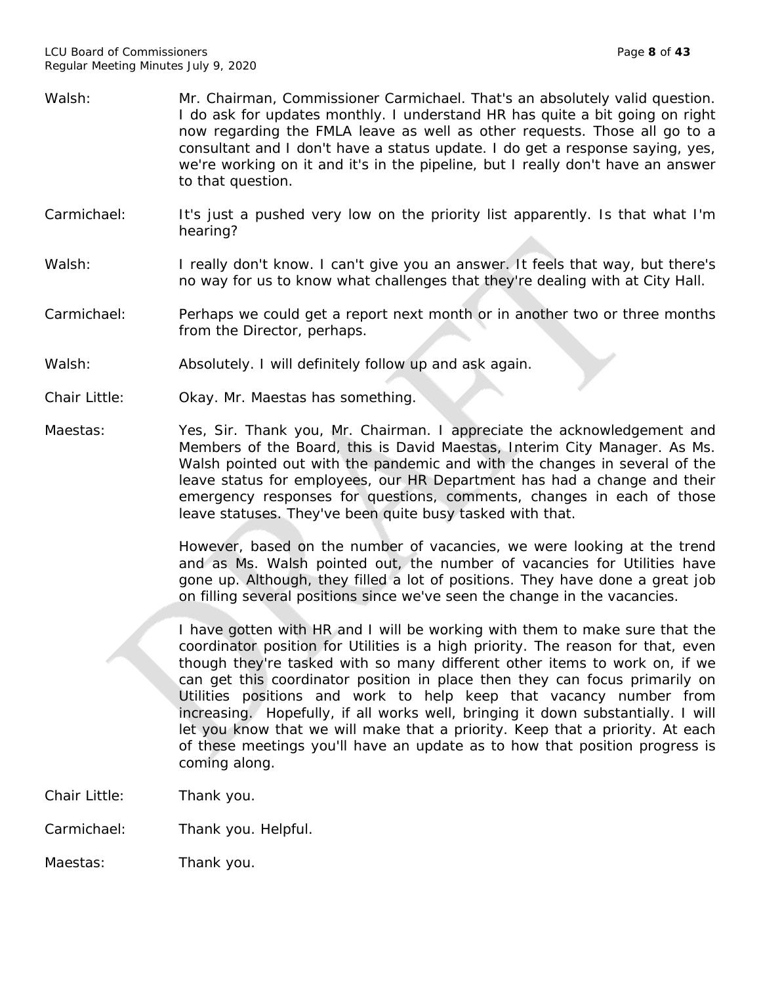- Walsh: Mr. Chairman, Commissioner Carmichael. That's an absolutely valid question. I do ask for updates monthly. I understand HR has quite a bit going on right now regarding the FMLA leave as well as other requests. Those all go to a consultant and I don't have a status update. I do get a response saying, yes, we're working on it and it's in the pipeline, but I really don't have an answer to that question.
- Carmichael: It's just a pushed very low on the priority list apparently. Is that what I'm hearing?
- Walsh: I really don't know. I can't give you an answer. It feels that way, but there's no way for us to know what challenges that they're dealing with at City Hall.
- Carmichael: Perhaps we could get a report next month or in another two or three months from the Director, perhaps.
- Walsh: Absolutely. I will definitely follow up and ask again.
- Chair Little: Okay. Mr. Maestas has something.
- Maestas: Yes, Sir. Thank you, Mr. Chairman. I appreciate the acknowledgement and Members of the Board, this is David Maestas, Interim City Manager. As Ms. Walsh pointed out with the pandemic and with the changes in several of the leave status for employees, our HR Department has had a change and their emergency responses for questions, comments, changes in each of those leave statuses. They've been quite busy tasked with that.

However, based on the number of vacancies, we were looking at the trend and as Ms. Walsh pointed out, the number of vacancies for Utilities have gone up. Although, they filled a lot of positions. They have done a great job on filling several positions since we've seen the change in the vacancies.

I have gotten with HR and I will be working with them to make sure that the coordinator position for Utilities is a high priority. The reason for that, even though they're tasked with so many different other items to work on, if we can get this coordinator position in place then they can focus primarily on Utilities positions and work to help keep that vacancy number from increasing. Hopefully, if all works well, bringing it down substantially. I will let you know that we will make that a priority. Keep that a priority. At each of these meetings you'll have an update as to how that position progress is coming along.

- Chair Little: Thank you.
- Carmichael: Thank you. Helpful.
- Maestas: Thank you.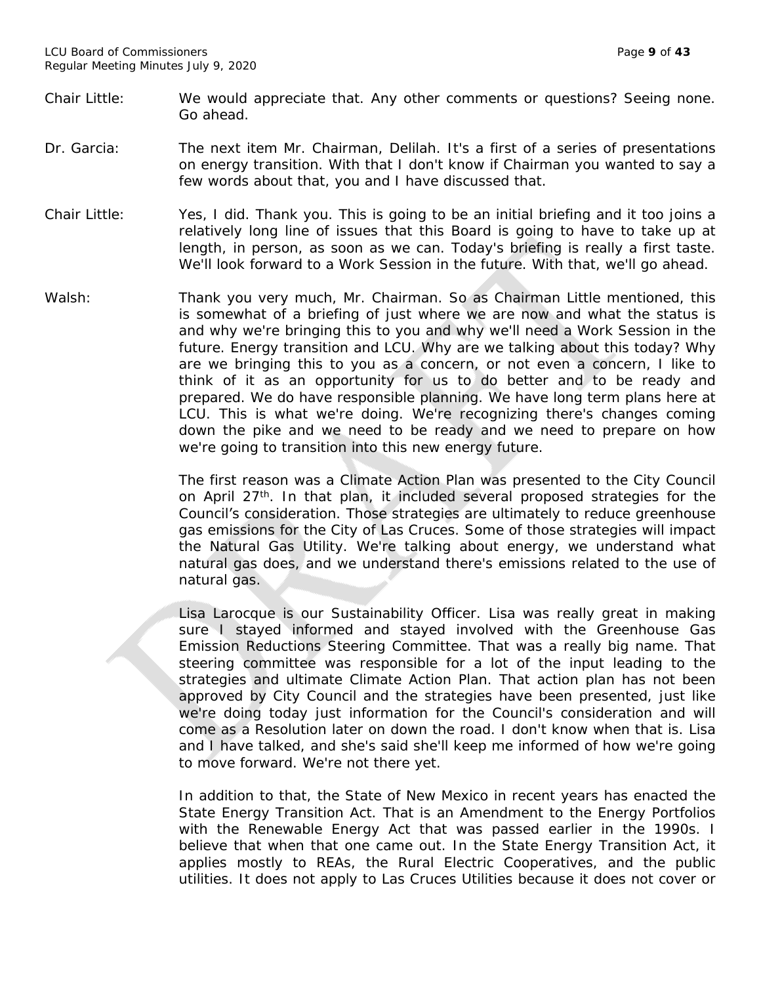- Chair Little: We would appreciate that. Any other comments or questions? Seeing none. Go ahead.
- Dr. Garcia: The next item Mr. Chairman, Delilah. It's a first of a series of presentations on energy transition. With that I don't know if Chairman you wanted to say a few words about that, you and I have discussed that.
- Chair Little: Yes, I did. Thank you. This is going to be an initial briefing and it too joins a relatively long line of issues that this Board is going to have to take up at length, in person, as soon as we can. Today's briefing is really a first taste. We'll look forward to a Work Session in the future. With that, we'll go ahead.
- Walsh: Thank you very much, Mr. Chairman. So as Chairman Little mentioned, this is somewhat of a briefing of just where we are now and what the status is and why we're bringing this to you and why we'll need a Work Session in the future. Energy transition and LCU. Why are we talking about this today? Why are we bringing this to you as a concern, or not even a concern, I like to think of it as an opportunity for us to do better and to be ready and prepared. We do have responsible planning. We have long term plans here at LCU. This is what we're doing. We're recognizing there's changes coming down the pike and we need to be ready and we need to prepare on how we're going to transition into this new energy future.

The first reason was a Climate Action Plan was presented to the City Council on April 27<sup>th</sup>. In that plan, it included several proposed strategies for the Council's consideration. Those strategies are ultimately to reduce greenhouse gas emissions for the City of Las Cruces. Some of those strategies will impact the Natural Gas Utility. We're talking about energy, we understand what natural gas does, and we understand there's emissions related to the use of natural gas.

Lisa Larocque is our Sustainability Officer. Lisa was really great in making sure I stayed informed and stayed involved with the Greenhouse Gas Emission Reductions Steering Committee. That was a really big name. That steering committee was responsible for a lot of the input leading to the strategies and ultimate Climate Action Plan. That action plan has not been approved by City Council and the strategies have been presented, just like we're doing today just information for the Council's consideration and will come as a Resolution later on down the road. I don't know when that is. Lisa and I have talked, and she's said she'll keep me informed of how we're going to move forward. We're not there yet.

In addition to that, the State of New Mexico in recent years has enacted the State Energy Transition Act. That is an Amendment to the Energy Portfolios with the Renewable Energy Act that was passed earlier in the 1990s. I believe that when that one came out. In the State Energy Transition Act, it applies mostly to REAs, the Rural Electric Cooperatives, and the public utilities. It does not apply to Las Cruces Utilities because it does not cover or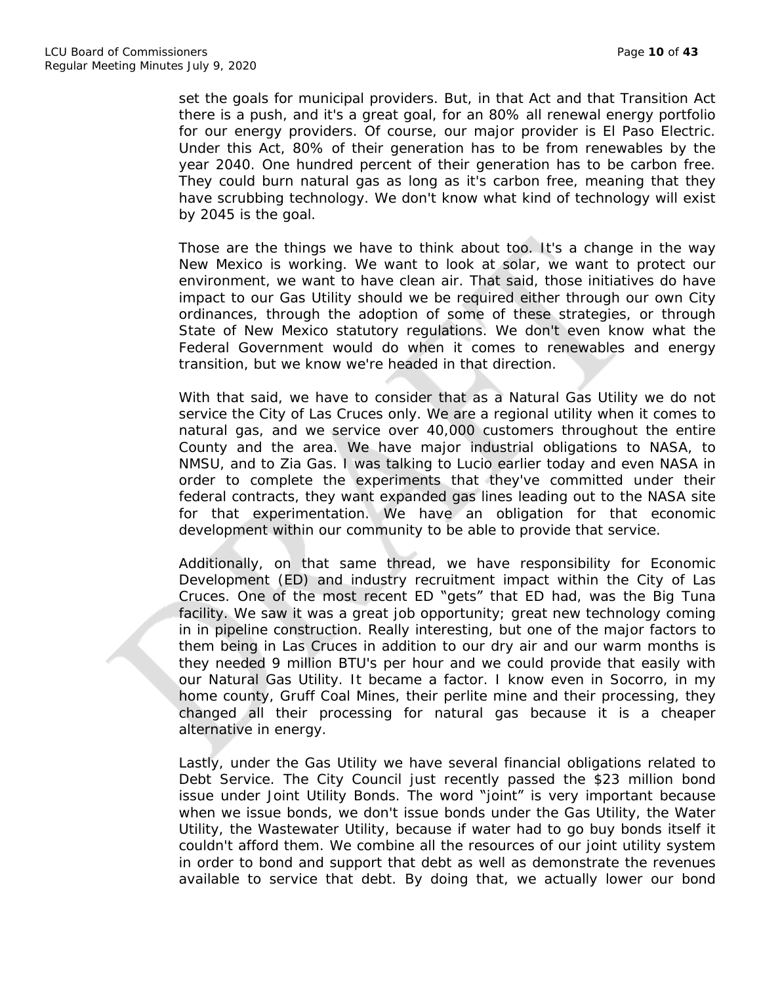set the goals for municipal providers. But, in that Act and that Transition Act there is a push, and it's a great goal, for an 80% all renewal energy portfolio for our energy providers. Of course, our major provider is El Paso Electric. Under this Act, 80% of their generation has to be from renewables by the year 2040. One hundred percent of their generation has to be carbon free. They could burn natural gas as long as it's carbon free, meaning that they have scrubbing technology. We don't know what kind of technology will exist by 2045 is the goal.

Those are the things we have to think about too. It's a change in the way New Mexico is working. We want to look at solar, we want to protect our environment, we want to have clean air. That said, those initiatives do have impact to our Gas Utility should we be required either through our own City ordinances, through the adoption of some of these strategies, or through State of New Mexico statutory regulations. We don't even know what the Federal Government would do when it comes to renewables and energy transition, but we know we're headed in that direction.

With that said, we have to consider that as a Natural Gas Utility we do not service the City of Las Cruces only. We are a regional utility when it comes to natural gas, and we service over 40,000 customers throughout the entire County and the area. We have major industrial obligations to NASA, to NMSU, and to Zia Gas. I was talking to Lucio earlier today and even NASA in order to complete the experiments that they've committed under their federal contracts, they want expanded gas lines leading out to the NASA site for that experimentation. We have an obligation for that economic development within our community to be able to provide that service.

Additionally, on that same thread, we have responsibility for Economic Development (ED) and industry recruitment impact within the City of Las Cruces. One of the most recent ED "gets" that ED had, was the Big Tuna facility. We saw it was a great job opportunity; great new technology coming in in pipeline construction. Really interesting, but one of the major factors to them being in Las Cruces in addition to our dry air and our warm months is they needed 9 million BTU's per hour and we could provide that easily with our Natural Gas Utility. It became a factor. I know even in Socorro, in my home county, Gruff Coal Mines, their perlite mine and their processing, they changed all their processing for natural gas because it is a cheaper alternative in energy.

Lastly, under the Gas Utility we have several financial obligations related to Debt Service. The City Council just recently passed the \$23 million bond issue under Joint Utility Bonds. The word "joint" is very important because when we issue bonds, we don't issue bonds under the Gas Utility, the Water Utility, the Wastewater Utility, because if water had to go buy bonds itself it couldn't afford them. We combine all the resources of our joint utility system in order to bond and support that debt as well as demonstrate the revenues available to service that debt. By doing that, we actually lower our bond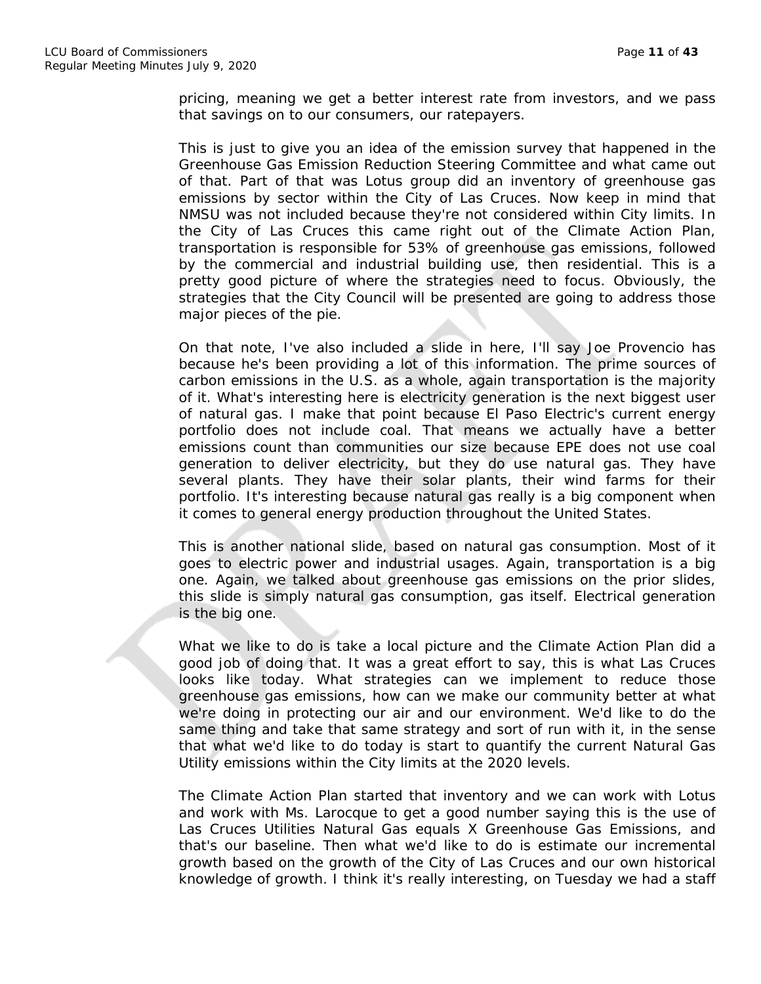pricing, meaning we get a better interest rate from investors, and we pass that savings on to our consumers, our ratepayers.

This is just to give you an idea of the emission survey that happened in the Greenhouse Gas Emission Reduction Steering Committee and what came out of that. Part of that was Lotus group did an inventory of greenhouse gas emissions by sector within the City of Las Cruces. Now keep in mind that NMSU was not included because they're not considered within City limits. In the City of Las Cruces this came right out of the Climate Action Plan, transportation is responsible for 53% of greenhouse gas emissions, followed by the commercial and industrial building use, then residential. This is a pretty good picture of where the strategies need to focus. Obviously, the strategies that the City Council will be presented are going to address those major pieces of the pie.

On that note, I've also included a slide in here, I'll say Joe Provencio has because he's been providing a lot of this information. The prime sources of carbon emissions in the U.S. as a whole, again transportation is the majority of it. What's interesting here is electricity generation is the next biggest user of natural gas. I make that point because El Paso Electric's current energy portfolio does not include coal. That means we actually have a better emissions count than communities our size because EPE does not use coal generation to deliver electricity, but they do use natural gas. They have several plants. They have their solar plants, their wind farms for their portfolio. It's interesting because natural gas really is a big component when it comes to general energy production throughout the United States.

This is another national slide, based on natural gas consumption. Most of it goes to electric power and industrial usages. Again, transportation is a big one. Again, we talked about greenhouse gas emissions on the prior slides, this slide is simply natural gas consumption, gas itself. Electrical generation is the big one.

What we like to do is take a local picture and the Climate Action Plan did a good job of doing that. It was a great effort to say, this is what Las Cruces looks like today. What strategies can we implement to reduce those greenhouse gas emissions, how can we make our community better at what we're doing in protecting our air and our environment. We'd like to do the same thing and take that same strategy and sort of run with it, in the sense that what we'd like to do today is start to quantify the current Natural Gas Utility emissions within the City limits at the 2020 levels.

The Climate Action Plan started that inventory and we can work with Lotus and work with Ms. Larocque to get a good number saying this is the use of Las Cruces Utilities Natural Gas equals X Greenhouse Gas Emissions, and that's our baseline. Then what we'd like to do is estimate our incremental growth based on the growth of the City of Las Cruces and our own historical knowledge of growth. I think it's really interesting, on Tuesday we had a staff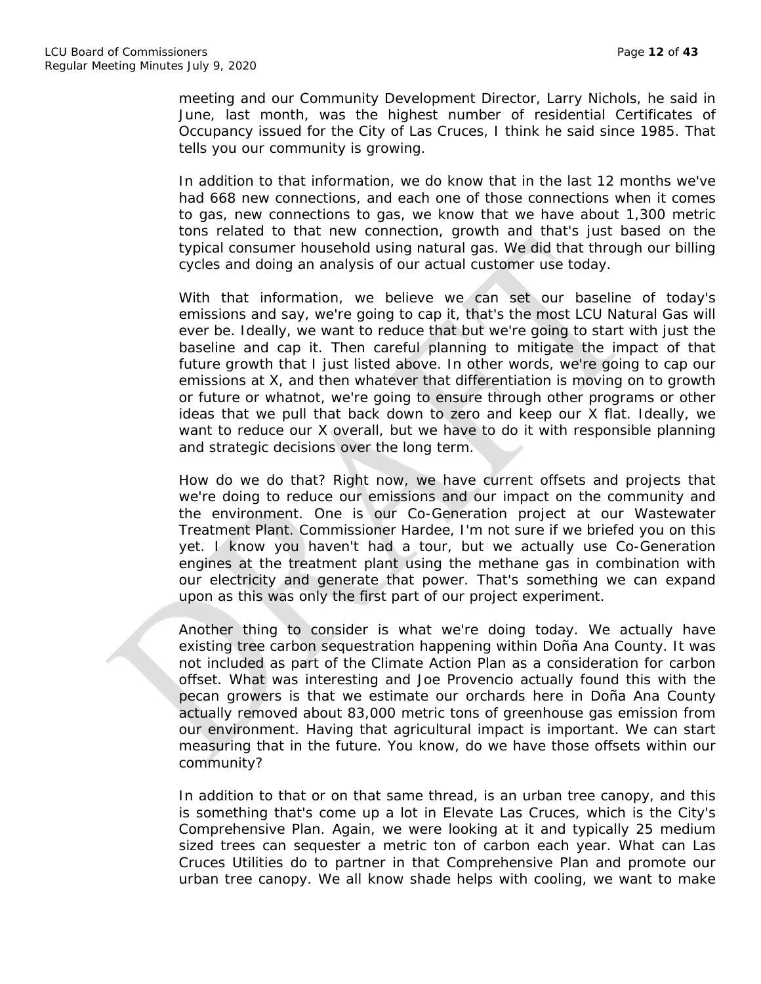meeting and our Community Development Director, Larry Nichols, he said in June, last month, was the highest number of residential Certificates of Occupancy issued for the City of Las Cruces, I think he said since 1985. That tells you our community is growing.

In addition to that information, we do know that in the last 12 months we've had 668 new connections, and each one of those connections when it comes to gas, new connections to gas, we know that we have about 1,300 metric tons related to that new connection, growth and that's just based on the typical consumer household using natural gas. We did that through our billing cycles and doing an analysis of our actual customer use today.

With that information, we believe we can set our baseline of today's emissions and say, we're going to cap it, that's the most LCU Natural Gas will ever be. Ideally, we want to reduce that but we're going to start with just the baseline and cap it. Then careful planning to mitigate the impact of that future growth that I just listed above. In other words, we're going to cap our emissions at X, and then whatever that differentiation is moving on to growth or future or whatnot, we're going to ensure through other programs or other ideas that we pull that back down to zero and keep our X flat. Ideally, we want to reduce our X overall, but we have to do it with responsible planning and strategic decisions over the long term.

How do we do that? Right now, we have current offsets and projects that we're doing to reduce our emissions and our impact on the community and the environment. One is our Co-Generation project at our Wastewater Treatment Plant. Commissioner Hardee, I'm not sure if we briefed you on this yet. I know you haven't had a tour, but we actually use Co-Generation engines at the treatment plant using the methane gas in combination with our electricity and generate that power. That's something we can expand upon as this was only the first part of our project experiment.

Another thing to consider is what we're doing today. We actually have existing tree carbon sequestration happening within Doña Ana County. It was not included as part of the Climate Action Plan as a consideration for carbon offset. What was interesting and Joe Provencio actually found this with the pecan growers is that we estimate our orchards here in Doña Ana County actually removed about 83,000 metric tons of greenhouse gas emission from our environment. Having that agricultural impact is important. We can start measuring that in the future. You know, do we have those offsets within our community?

In addition to that or on that same thread, is an urban tree canopy, and this is something that's come up a lot in Elevate Las Cruces, which is the City's Comprehensive Plan. Again, we were looking at it and typically 25 medium sized trees can sequester a metric ton of carbon each year. What can Las Cruces Utilities do to partner in that Comprehensive Plan and promote our urban tree canopy. We all know shade helps with cooling, we want to make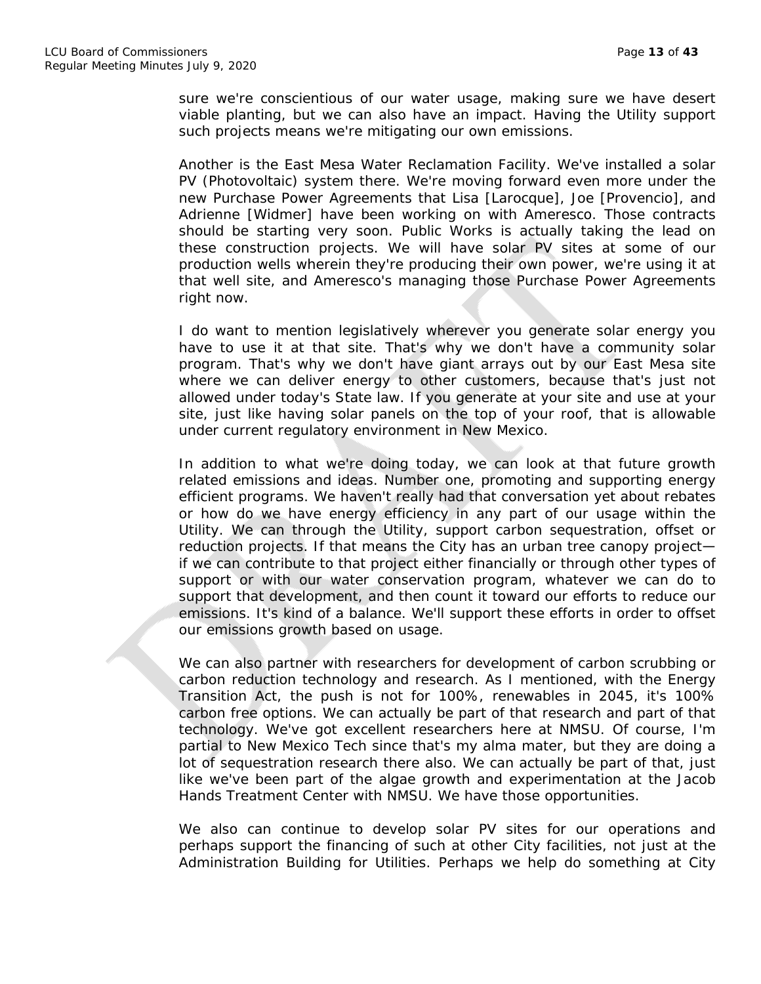sure we're conscientious of our water usage, making sure we have desert viable planting, but we can also have an impact. Having the Utility support such projects means we're mitigating our own emissions.

Another is the East Mesa Water Reclamation Facility. We've installed a solar PV (Photovoltaic) system there. We're moving forward even more under the new Purchase Power Agreements that Lisa [Larocque], Joe [Provencio], and Adrienne [Widmer] have been working on with Ameresco. Those contracts should be starting very soon. Public Works is actually taking the lead on these construction projects. We will have solar PV sites at some of our production wells wherein they're producing their own power, we're using it at that well site, and Ameresco's managing those Purchase Power Agreements right now.

I do want to mention legislatively wherever you generate solar energy you have to use it at that site. That's why we don't have a community solar program. That's why we don't have giant arrays out by our East Mesa site where we can deliver energy to other customers, because that's just not allowed under today's State law. If you generate at your site and use at your site, just like having solar panels on the top of your roof, that is allowable under current regulatory environment in New Mexico.

In addition to what we're doing today, we can look at that future growth related emissions and ideas. Number one, promoting and supporting energy efficient programs. We haven't really had that conversation yet about rebates or how do we have energy efficiency in any part of our usage within the Utility. We can through the Utility, support carbon sequestration, offset or reduction projects. If that means the City has an urban tree canopy project if we can contribute to that project either financially or through other types of support or with our water conservation program, whatever we can do to support that development, and then count it toward our efforts to reduce our emissions. It's kind of a balance. We'll support these efforts in order to offset our emissions growth based on usage.

We can also partner with researchers for development of carbon scrubbing or carbon reduction technology and research. As I mentioned, with the Energy Transition Act, the push is not for 100%, renewables in 2045, it's 100% carbon free options. We can actually be part of that research and part of that technology. We've got excellent researchers here at NMSU. Of course, I'm partial to New Mexico Tech since that's my alma mater, but they are doing a lot of sequestration research there also. We can actually be part of that, just like we've been part of the algae growth and experimentation at the Jacob Hands Treatment Center with NMSU. We have those opportunities.

We also can continue to develop solar PV sites for our operations and perhaps support the financing of such at other City facilities, not just at the Administration Building for Utilities. Perhaps we help do something at City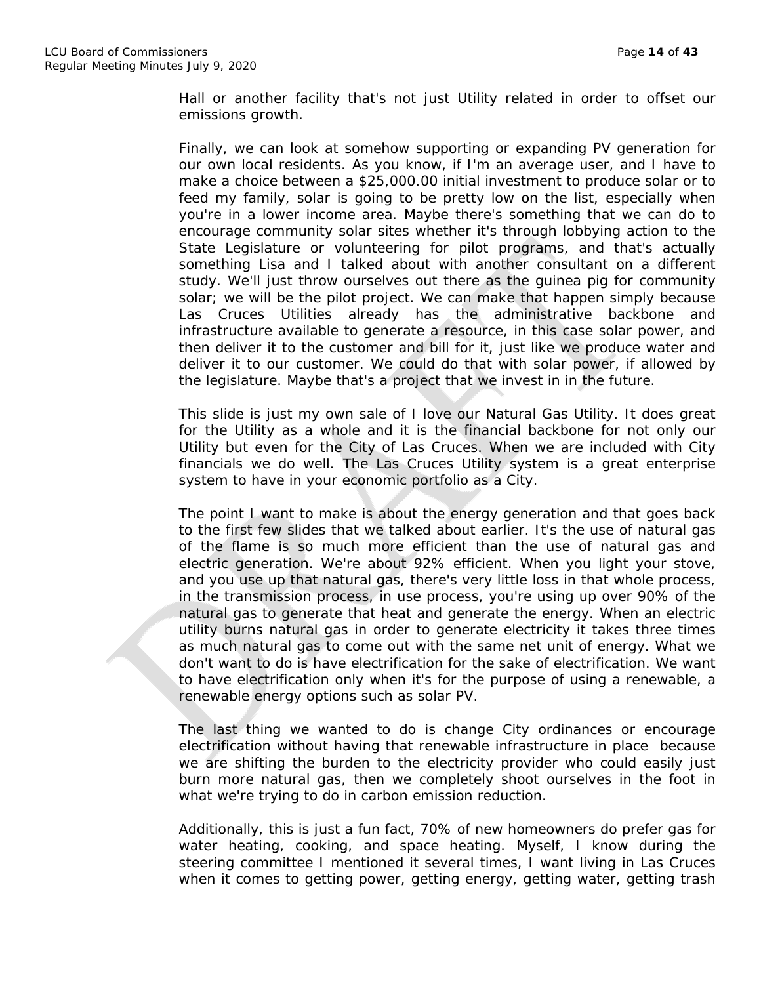Hall or another facility that's not just Utility related in order to offset our emissions growth.

Finally, we can look at somehow supporting or expanding PV generation for our own local residents. As you know, if I'm an average user, and I have to make a choice between a \$25,000.00 initial investment to produce solar or to feed my family, solar is going to be pretty low on the list, especially when you're in a lower income area. Maybe there's something that we can do to encourage community solar sites whether it's through lobbying action to the State Legislature or volunteering for pilot programs, and that's actually something Lisa and I talked about with another consultant on a different study. We'll just throw ourselves out there as the guinea pig for community solar; we will be the pilot project. We can make that happen simply because Las Cruces Utilities already has the administrative backbone and infrastructure available to generate a resource, in this case solar power, and then deliver it to the customer and bill for it, just like we produce water and deliver it to our customer. We could do that with solar power, if allowed by the legislature. Maybe that's a project that we invest in in the future.

This slide is just my own sale of I love our Natural Gas Utility. It does great for the Utility as a whole and it is the financial backbone for not only our Utility but even for the City of Las Cruces. When we are included with City financials we do well. The Las Cruces Utility system is a great enterprise system to have in your economic portfolio as a City.

The point I want to make is about the energy generation and that goes back to the first few slides that we talked about earlier. It's the use of natural gas of the flame is so much more efficient than the use of natural gas and electric generation. We're about 92% efficient. When you light your stove, and you use up that natural gas, there's very little loss in that whole process, in the transmission process, in use process, you're using up over 90% of the natural gas to generate that heat and generate the energy. When an electric utility burns natural gas in order to generate electricity it takes three times as much natural gas to come out with the same net unit of energy. What we don't want to do is have electrification for the sake of electrification. We want to have electrification only when it's for the purpose of using a renewable, a renewable energy options such as solar PV.

The last thing we wanted to do is change City ordinances or encourage electrification without having that renewable infrastructure in place because we are shifting the burden to the electricity provider who could easily just burn more natural gas, then we completely shoot ourselves in the foot in what we're trying to do in carbon emission reduction.

Additionally, this is just a fun fact, 70% of new homeowners do prefer gas for water heating, cooking, and space heating. Myself, I know during the steering committee I mentioned it several times, I want living in Las Cruces when it comes to getting power, getting energy, getting water, getting trash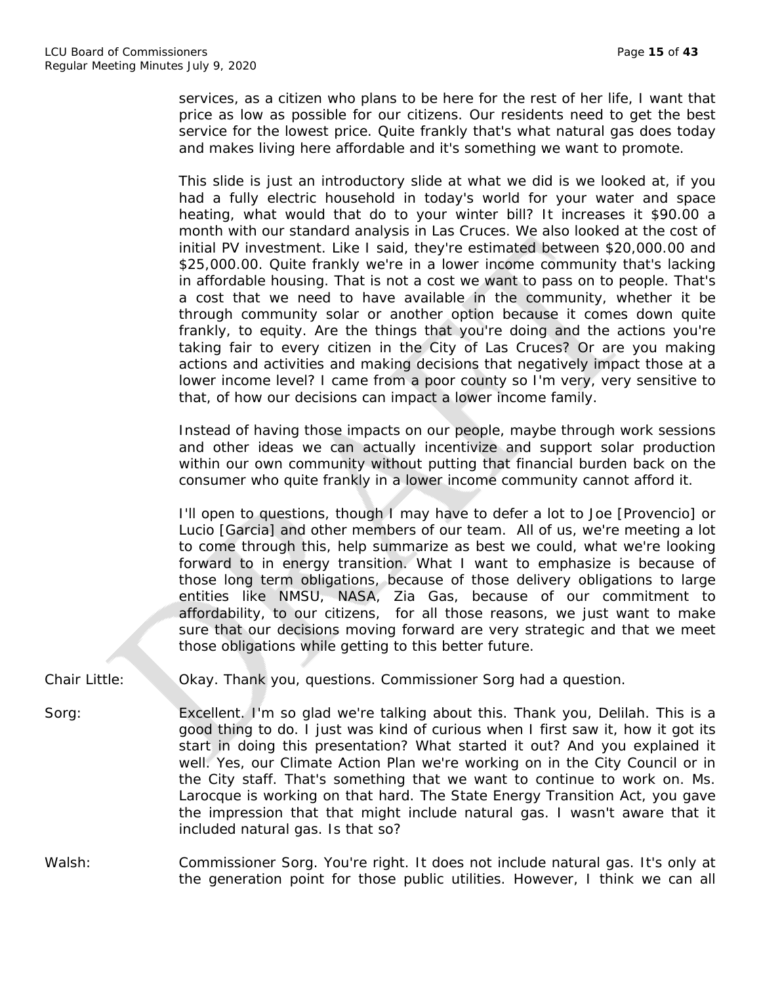services, as a citizen who plans to be here for the rest of her life, I want that price as low as possible for our citizens. Our residents need to get the best service for the lowest price. Quite frankly that's what natural gas does today and makes living here affordable and it's something we want to promote.

This slide is just an introductory slide at what we did is we looked at, if you had a fully electric household in today's world for your water and space heating, what would that do to your winter bill? It increases it \$90.00 a month with our standard analysis in Las Cruces. We also looked at the cost of initial PV investment. Like I said, they're estimated between \$20,000.00 and \$25,000.00. Quite frankly we're in a lower income community that's lacking in affordable housing. That is not a cost we want to pass on to people. That's a cost that we need to have available in the community, whether it be through community solar or another option because it comes down quite frankly, to equity. Are the things that you're doing and the actions you're taking fair to every citizen in the City of Las Cruces? Or are you making actions and activities and making decisions that negatively impact those at a lower income level? I came from a poor county so I'm very, very sensitive to that, of how our decisions can impact a lower income family.

Instead of having those impacts on our people, maybe through work sessions and other ideas we can actually incentivize and support solar production within our own community without putting that financial burden back on the consumer who quite frankly in a lower income community cannot afford it.

I'll open to questions, though I may have to defer a lot to Joe [Provencio] or Lucio [Garcia] and other members of our team. All of us, we're meeting a lot to come through this, help summarize as best we could, what we're looking forward to in energy transition. What I want to emphasize is because of those long term obligations, because of those delivery obligations to large entities like NMSU, NASA, Zia Gas, because of our commitment to affordability, to our citizens, for all those reasons, we just want to make sure that our decisions moving forward are very strategic and that we meet those obligations while getting to this better future.

Chair Little: Okay. Thank you, questions. Commissioner Sorg had a question.

Sorg: Excellent. I'm so glad we're talking about this. Thank you, Delilah. This is a good thing to do. I just was kind of curious when I first saw it, how it got its start in doing this presentation? What started it out? And you explained it well. Yes, our Climate Action Plan we're working on in the City Council or in the City staff. That's something that we want to continue to work on. Ms. Larocque is working on that hard. The State Energy Transition Act, you gave the impression that that might include natural gas. I wasn't aware that it included natural gas. Is that so?

Walsh: Commissioner Sorg. You're right. It does not include natural gas. It's only at the generation point for those public utilities. However, I think we can all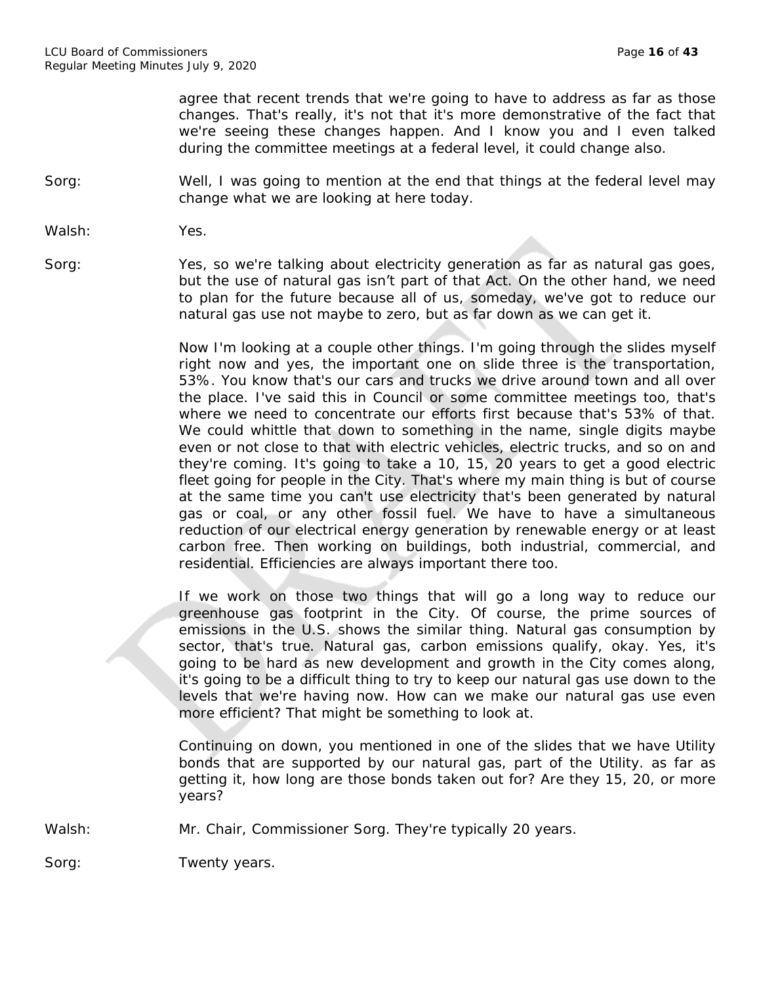agree that recent trends that we're going to have to address as far as those changes. That's really, it's not that it's more demonstrative of the fact that we're seeing these changes happen. And I know you and I even talked during the committee meetings at a federal level, it could change also.

Sorg: Well, I was going to mention at the end that things at the federal level may change what we are looking at here today.

Walsh: Yes.

Sorg: Yes, so we're talking about electricity generation as far as natural gas goes, but the use of natural gas isn't part of that Act. On the other hand, we need to plan for the future because all of us, someday, we've got to reduce our natural gas use not maybe to zero, but as far down as we can get it.

> Now I'm looking at a couple other things. I'm going through the slides myself right now and yes, the important one on slide three is the transportation, 53%. You know that's our cars and trucks we drive around town and all over the place. I've said this in Council or some committee meetings too, that's where we need to concentrate our efforts first because that's 53% of that. We could whittle that down to something in the name, single digits maybe even or not close to that with electric vehicles, electric trucks, and so on and they're coming. It's going to take a 10, 15, 20 years to get a good electric fleet going for people in the City. That's where my main thing is but of course at the same time you can't use electricity that's been generated by natural gas or coal, or any other fossil fuel. We have to have a simultaneous reduction of our electrical energy generation by renewable energy or at least carbon free. Then working on buildings, both industrial, commercial, and residential. Efficiencies are always important there too.

> If we work on those two things that will go a long way to reduce our greenhouse gas footprint in the City. Of course, the prime sources of emissions in the U.S. shows the similar thing. Natural gas consumption by sector, that's true. Natural gas, carbon emissions qualify, okay. Yes, it's going to be hard as new development and growth in the City comes along, it's going to be a difficult thing to try to keep our natural gas use down to the levels that we're having now. How can we make our natural gas use even more efficient? That might be something to look at.

> Continuing on down, you mentioned in one of the slides that we have Utility bonds that are supported by our natural gas, part of the Utility. as far as getting it, how long are those bonds taken out for? Are they 15, 20, or more years?

Walsh: Mr. Chair, Commissioner Sorg. They're typically 20 years.

Sorg: Twenty years.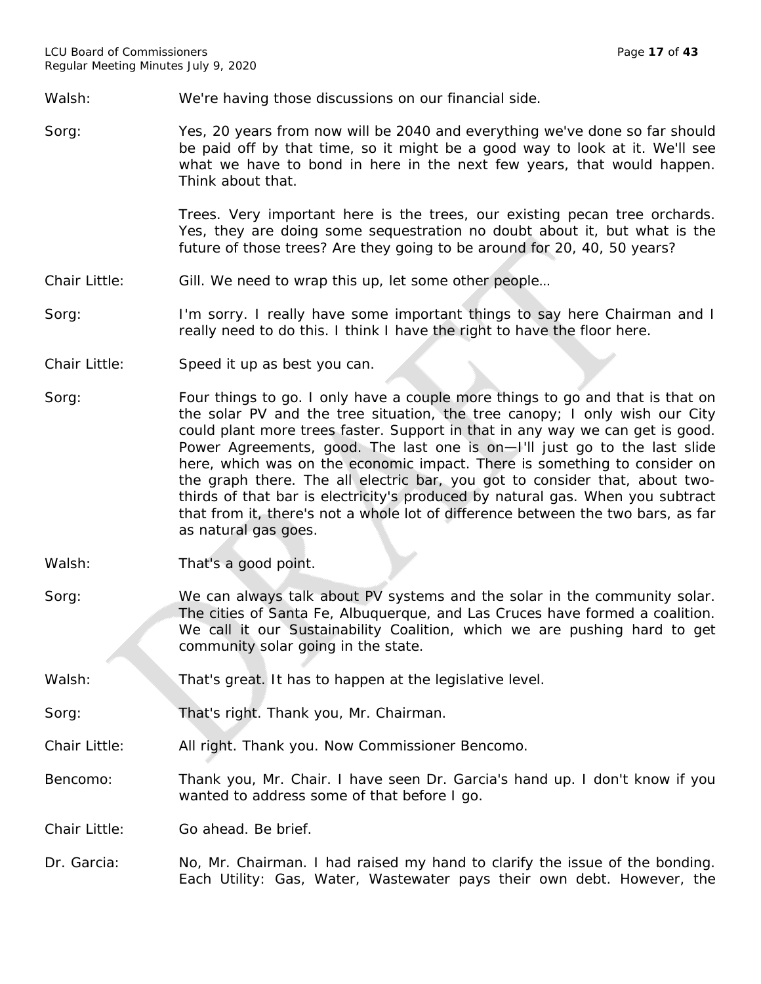Walsh: We're having those discussions on our financial side.

Sorg: Yes, 20 years from now will be 2040 and everything we've done so far should be paid off by that time, so it might be a good way to look at it. We'll see what we have to bond in here in the next few years, that would happen. Think about that.

> Trees. Very important here is the trees, our existing pecan tree orchards. Yes, they are doing some sequestration no doubt about it, but what is the future of those trees? Are they going to be around for 20, 40, 50 years?

Chair Little: Gill. We need to wrap this up, let some other people...

Sorg: I'm sorry. I really have some important things to say here Chairman and I really need to do this. I think I have the right to have the floor here.

- Chair Little: Speed it up as best you can.
- Sorg: Four things to go. I only have a couple more things to go and that is that on the solar PV and the tree situation, the tree canopy; I only wish our City could plant more trees faster. Support in that in any way we can get is good. Power Agreements, good. The last one is on—I'll just go to the last slide here, which was on the economic impact. There is something to consider on the graph there. The all electric bar, you got to consider that, about twothirds of that bar is electricity's produced by natural gas. When you subtract that from it, there's not a whole lot of difference between the two bars, as far as natural gas goes.
- Walsh: That's a good point.
- Sorg: We can always talk about PV systems and the solar in the community solar. The cities of Santa Fe, Albuquerque, and Las Cruces have formed a coalition. We call it our Sustainability Coalition, which we are pushing hard to get community solar going in the state.
- Walsh: That's great. It has to happen at the legislative level.
- Sorg: That's right. Thank you, Mr. Chairman.
- Chair Little: All right. Thank you. Now Commissioner Bencomo.
- Bencomo: Thank you, Mr. Chair. I have seen Dr. Garcia's hand up. I don't know if you wanted to address some of that before I go.

Chair Little: Go ahead. Be brief.

Dr. Garcia: No, Mr. Chairman. I had raised my hand to clarify the issue of the bonding. Each Utility: Gas, Water, Wastewater pays their own debt. However, the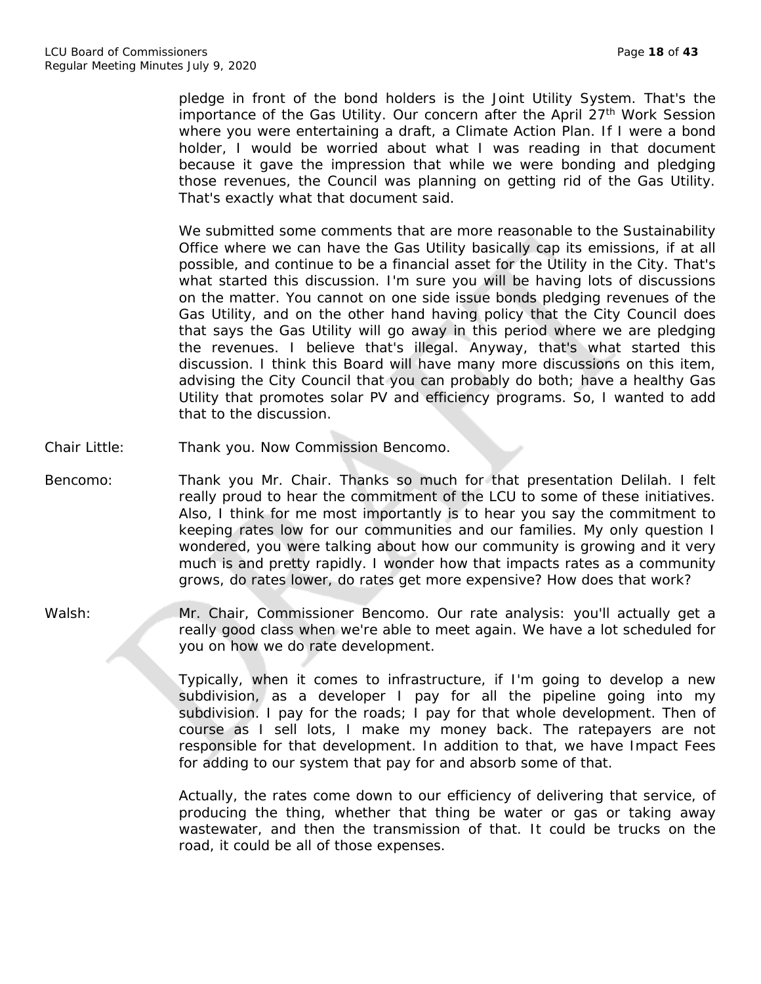pledge in front of the bond holders is the Joint Utility System. That's the importance of the Gas Utility. Our concern after the April 27<sup>th</sup> Work Session where you were entertaining a draft, a Climate Action Plan. If I were a bond holder, I would be worried about what I was reading in that document because it gave the impression that while we were bonding and pledging those revenues, the Council was planning on getting rid of the Gas Utility. That's exactly what that document said.

We submitted some comments that are more reasonable to the Sustainability Office where we can have the Gas Utility basically cap its emissions, if at all possible, and continue to be a financial asset for the Utility in the City. That's what started this discussion. I'm sure you will be having lots of discussions on the matter. You cannot on one side issue bonds pledging revenues of the Gas Utility, and on the other hand having policy that the City Council does that says the Gas Utility will go away in this period where we are pledging the revenues. I believe that's illegal. Anyway, that's what started this discussion. I think this Board will have many more discussions on this item, advising the City Council that you can probably do both; have a healthy Gas Utility that promotes solar PV and efficiency programs. So, I wanted to add that to the discussion.

- Chair Little: Thank you. Now Commission Bencomo.
- Bencomo: Thank you Mr. Chair. Thanks so much for that presentation Delilah. I felt really proud to hear the commitment of the LCU to some of these initiatives. Also, I think for me most importantly is to hear you say the commitment to keeping rates low for our communities and our families. My only question I wondered, you were talking about how our community is growing and it very much is and pretty rapidly. I wonder how that impacts rates as a community grows, do rates lower, do rates get more expensive? How does that work?
- Walsh: Mr. Chair, Commissioner Bencomo. Our rate analysis: you'll actually get a really good class when we're able to meet again. We have a lot scheduled for you on how we do rate development.

Typically, when it comes to infrastructure, if I'm going to develop a new subdivision, as a developer I pay for all the pipeline going into my subdivision. I pay for the roads; I pay for that whole development. Then of course as I sell lots, I make my money back. The ratepayers are not responsible for that development. In addition to that, we have Impact Fees for adding to our system that pay for and absorb some of that.

Actually, the rates come down to our efficiency of delivering that service, of producing the thing, whether that thing be water or gas or taking away wastewater, and then the transmission of that. It could be trucks on the road, it could be all of those expenses.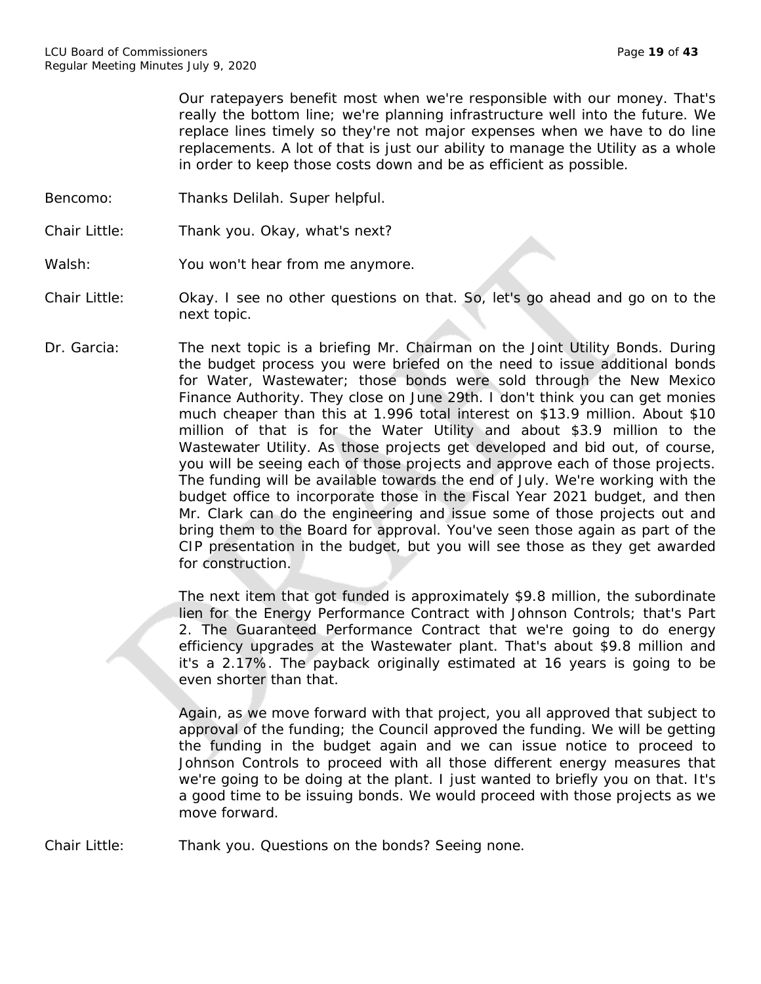Our ratepayers benefit most when we're responsible with our money. That's really the bottom line; we're planning infrastructure well into the future. We replace lines timely so they're not major expenses when we have to do line replacements. A lot of that is just our ability to manage the Utility as a whole in order to keep those costs down and be as efficient as possible.

- Bencomo: Thanks Delilah. Super helpful.
- Chair Little: Thank you. Okay, what's next?

Walsh: You won't hear from me anymore.

- Chair Little: Okay. I see no other questions on that. So, let's go ahead and go on to the next topic.
- Dr. Garcia: The next topic is a briefing Mr. Chairman on the Joint Utility Bonds. During the budget process you were briefed on the need to issue additional bonds for Water, Wastewater; those bonds were sold through the New Mexico Finance Authority. They close on June 29th. I don't think you can get monies much cheaper than this at 1.996 total interest on \$13.9 million. About \$10 million of that is for the Water Utility and about \$3.9 million to the Wastewater Utility. As those projects get developed and bid out, of course, you will be seeing each of those projects and approve each of those projects. The funding will be available towards the end of July. We're working with the budget office to incorporate those in the Fiscal Year 2021 budget, and then Mr. Clark can do the engineering and issue some of those projects out and bring them to the Board for approval. You've seen those again as part of the CIP presentation in the budget, but you will see those as they get awarded for construction.

The next item that got funded is approximately \$9.8 million, the subordinate lien for the Energy Performance Contract with Johnson Controls; that's Part 2. The Guaranteed Performance Contract that we're going to do energy efficiency upgrades at the Wastewater plant. That's about \$9.8 million and it's a 2.17%. The payback originally estimated at 16 years is going to be even shorter than that.

Again, as we move forward with that project, you all approved that subject to approval of the funding; the Council approved the funding. We will be getting the funding in the budget again and we can issue notice to proceed to Johnson Controls to proceed with all those different energy measures that we're going to be doing at the plant. I just wanted to briefly you on that. It's a good time to be issuing bonds. We would proceed with those projects as we move forward.

Chair Little: Thank you. Questions on the bonds? Seeing none.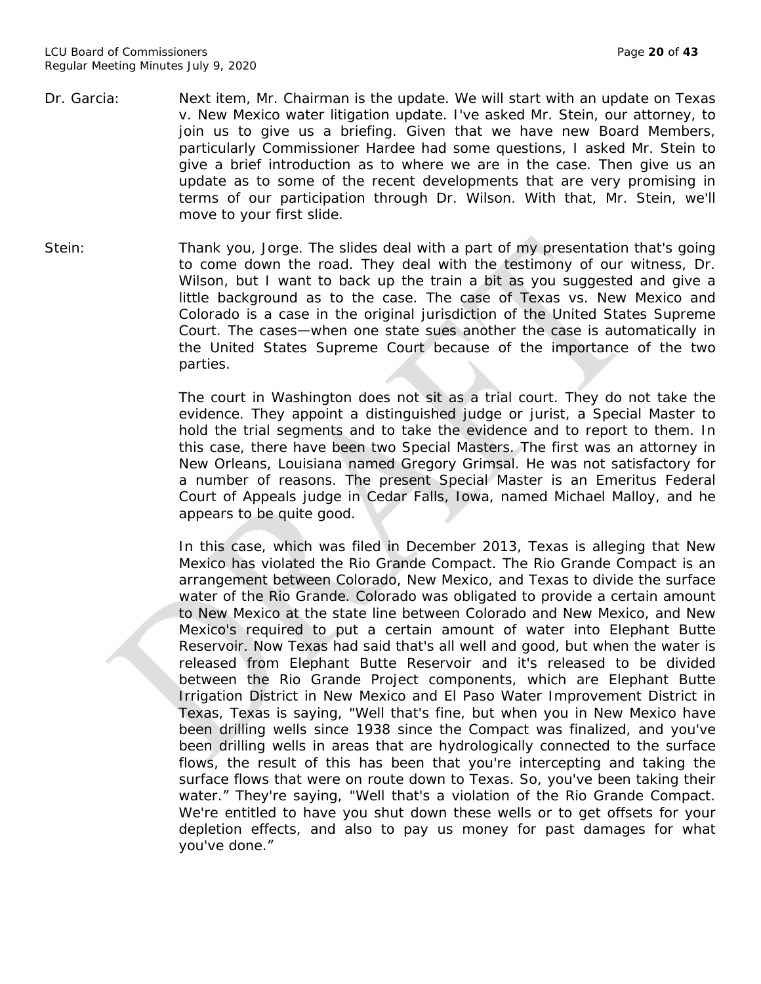- Dr. Garcia: Next item, Mr. Chairman is the update. We will start with an update on Texas v. New Mexico water litigation update. I've asked Mr. Stein, our attorney, to join us to give us a briefing. Given that we have new Board Members, particularly Commissioner Hardee had some questions, I asked Mr. Stein to give a brief introduction as to where we are in the case. Then give us an update as to some of the recent developments that are very promising in terms of our participation through Dr. Wilson. With that, Mr. Stein, we'll move to your first slide.
- Stein: Thank you, Jorge. The slides deal with a part of my presentation that's going to come down the road. They deal with the testimony of our witness, Dr. Wilson, but I want to back up the train a bit as you suggested and give a little background as to the case. The case of Texas vs. New Mexico and Colorado is a case in the original jurisdiction of the United States Supreme Court. The cases—when one state sues another the case is automatically in the United States Supreme Court because of the importance of the two parties.

The court in Washington does not sit as a trial court. They do not take the evidence. They appoint a distinguished judge or jurist, a Special Master to hold the trial segments and to take the evidence and to report to them. In this case, there have been two Special Masters. The first was an attorney in New Orleans, Louisiana named Gregory Grimsal. He was not satisfactory for a number of reasons. The present Special Master is an Emeritus Federal Court of Appeals judge in Cedar Falls, Iowa, named Michael Malloy, and he appears to be quite good.

In this case, which was filed in December 2013, Texas is alleging that New Mexico has violated the Rio Grande Compact. The Rio Grande Compact is an arrangement between Colorado, New Mexico, and Texas to divide the surface water of the Rio Grande. Colorado was obligated to provide a certain amount to New Mexico at the state line between Colorado and New Mexico, and New Mexico's required to put a certain amount of water into Elephant Butte Reservoir. Now Texas had said that's all well and good, but when the water is released from Elephant Butte Reservoir and it's released to be divided between the Rio Grande Project components, which are Elephant Butte Irrigation District in New Mexico and El Paso Water Improvement District in Texas, Texas is saying, "Well that's fine, but when you in New Mexico have been drilling wells since 1938 since the Compact was finalized, and you've been drilling wells in areas that are hydrologically connected to the surface flows, the result of this has been that you're intercepting and taking the surface flows that were on route down to Texas. So, you've been taking their water." They're saying, "Well that's a violation of the Rio Grande Compact. We're entitled to have you shut down these wells or to get offsets for your depletion effects, and also to pay us money for past damages for what you've done."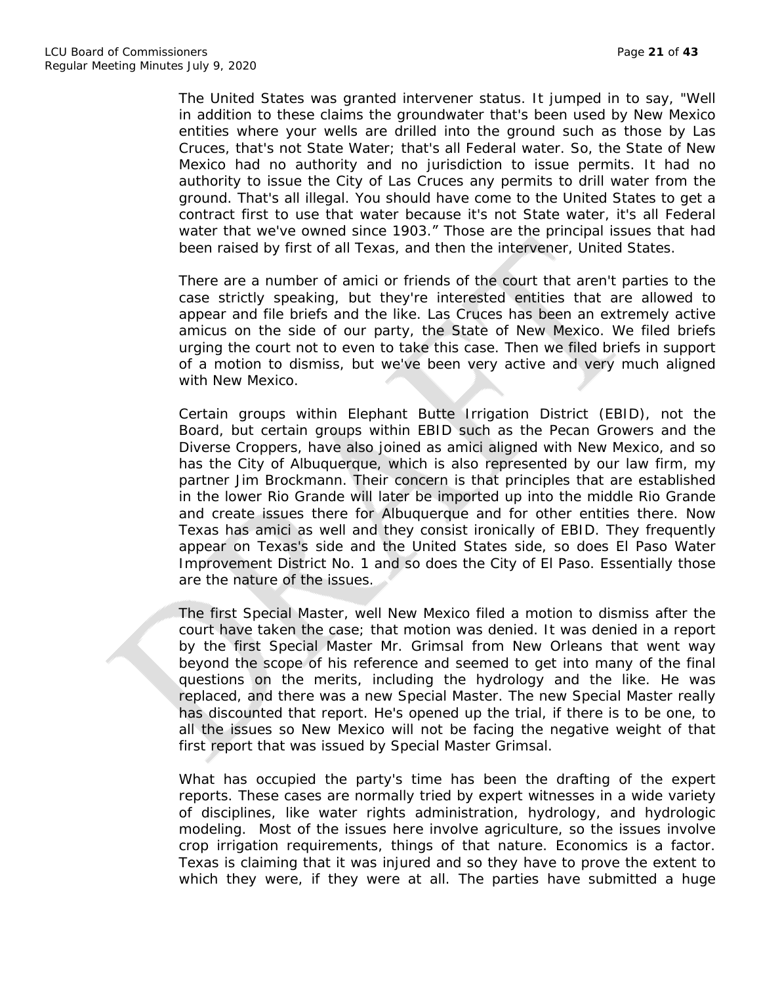The United States was granted intervener status. It jumped in to say, "Well in addition to these claims the groundwater that's been used by New Mexico entities where your wells are drilled into the ground such as those by Las Cruces, that's not State Water; that's all Federal water. So, the State of New Mexico had no authority and no jurisdiction to issue permits. It had no authority to issue the City of Las Cruces any permits to drill water from the ground. That's all illegal. You should have come to the United States to get a contract first to use that water because it's not State water, it's all Federal water that we've owned since 1903." Those are the principal issues that had been raised by first of all Texas, and then the intervener, United States.

There are a number of amici or friends of the court that aren't parties to the case strictly speaking, but they're interested entities that are allowed to appear and file briefs and the like. Las Cruces has been an extremely active amicus on the side of our party, the State of New Mexico. We filed briefs urging the court not to even to take this case. Then we filed briefs in support of a motion to dismiss, but we've been very active and very much aligned with New Mexico.

Certain groups within Elephant Butte Irrigation District (EBID), not the Board, but certain groups within EBID such as the Pecan Growers and the Diverse Croppers, have also joined as amici aligned with New Mexico, and so has the City of Albuquerque, which is also represented by our law firm, my partner Jim Brockmann. Their concern is that principles that are established in the lower Rio Grande will later be imported up into the middle Rio Grande and create issues there for Albuquerque and for other entities there. Now Texas has amici as well and they consist ironically of EBID. They frequently appear on Texas's side and the United States side, so does El Paso Water Improvement District No. 1 and so does the City of El Paso. Essentially those are the nature of the issues.

The first Special Master, well New Mexico filed a motion to dismiss after the court have taken the case; that motion was denied. It was denied in a report by the first Special Master Mr. Grimsal from New Orleans that went way beyond the scope of his reference and seemed to get into many of the final questions on the merits, including the hydrology and the like. He was replaced, and there was a new Special Master. The new Special Master really has discounted that report. He's opened up the trial, if there is to be one, to all the issues so New Mexico will not be facing the negative weight of that first report that was issued by Special Master Grimsal.

What has occupied the party's time has been the drafting of the expert reports. These cases are normally tried by expert witnesses in a wide variety of disciplines, like water rights administration, hydrology, and hydrologic modeling. Most of the issues here involve agriculture, so the issues involve crop irrigation requirements, things of that nature. Economics is a factor. Texas is claiming that it was injured and so they have to prove the extent to which they were, if they were at all. The parties have submitted a huge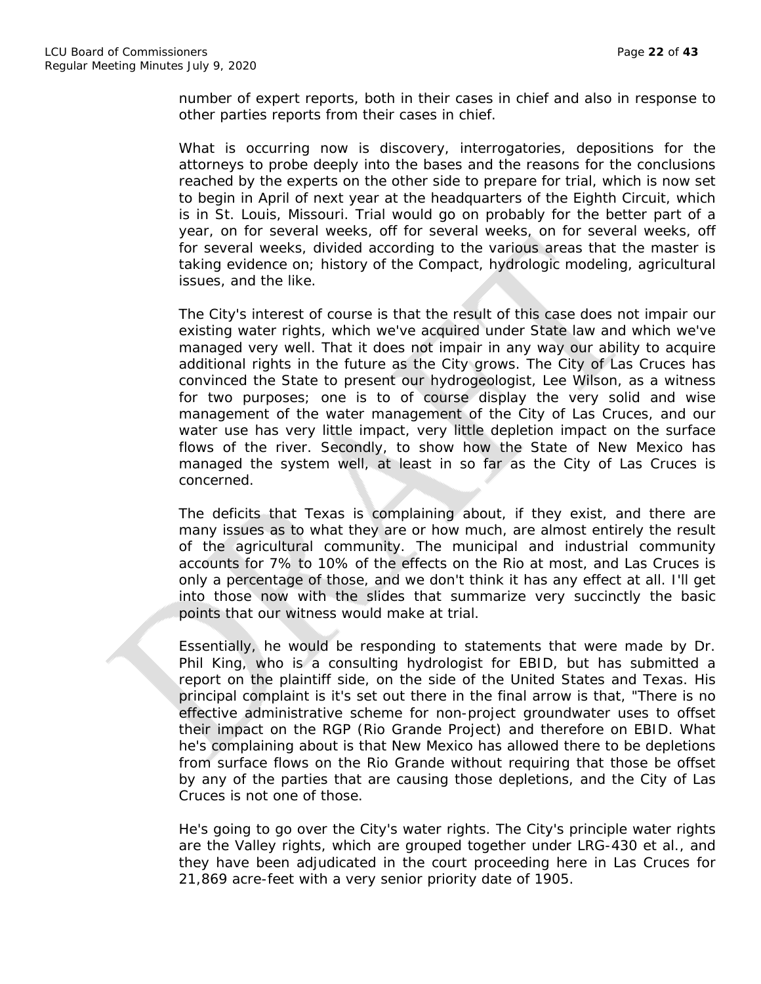number of expert reports, both in their cases in chief and also in response to other parties reports from their cases in chief.

What is occurring now is discovery, interrogatories, depositions for the attorneys to probe deeply into the bases and the reasons for the conclusions reached by the experts on the other side to prepare for trial, which is now set to begin in April of next year at the headquarters of the Eighth Circuit, which is in St. Louis, Missouri. Trial would go on probably for the better part of a year, on for several weeks, off for several weeks, on for several weeks, off for several weeks, divided according to the various areas that the master is taking evidence on; history of the Compact, hydrologic modeling, agricultural issues, and the like.

The City's interest of course is that the result of this case does not impair our existing water rights, which we've acquired under State law and which we've managed very well. That it does not impair in any way our ability to acquire additional rights in the future as the City grows. The City of Las Cruces has convinced the State to present our hydrogeologist, Lee Wilson, as a witness for two purposes; one is to of course display the very solid and wise management of the water management of the City of Las Cruces, and our water use has very little impact, very little depletion impact on the surface flows of the river. Secondly, to show how the State of New Mexico has managed the system well, at least in so far as the City of Las Cruces is concerned.

The deficits that Texas is complaining about, if they exist, and there are many issues as to what they are or how much, are almost entirely the result of the agricultural community. The municipal and industrial community accounts for 7% to 10% of the effects on the Rio at most, and Las Cruces is only a percentage of those, and we don't think it has any effect at all. I'll get into those now with the slides that summarize very succinctly the basic points that our witness would make at trial.

Essentially, he would be responding to statements that were made by Dr. Phil King, who is a consulting hydrologist for EBID, but has submitted a report on the plaintiff side, on the side of the United States and Texas. His principal complaint is it's set out there in the final arrow is that, "There is no effective administrative scheme for non-project groundwater uses to offset their impact on the RGP (Rio Grande Project) and therefore on EBID. What he's complaining about is that New Mexico has allowed there to be depletions from surface flows on the Rio Grande without requiring that those be offset by any of the parties that are causing those depletions, and the City of Las Cruces is not one of those.

He's going to go over the City's water rights. The City's principle water rights are the Valley rights, which are grouped together under LRG-430 et al., and they have been adjudicated in the court proceeding here in Las Cruces for 21,869 acre-feet with a very senior priority date of 1905.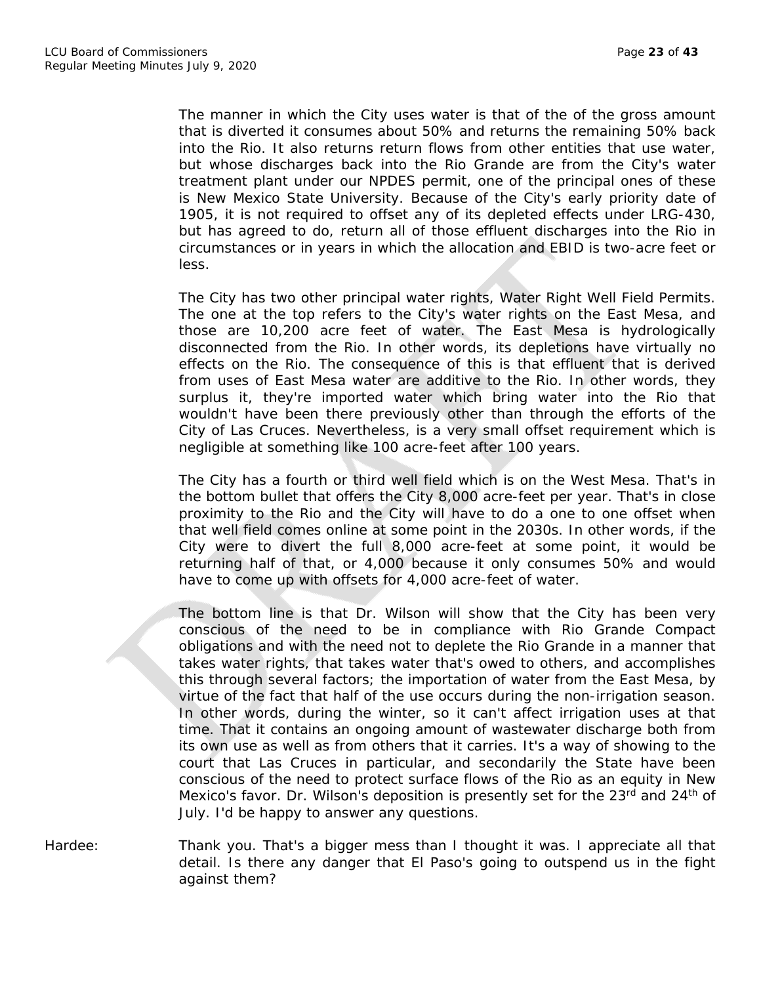The manner in which the City uses water is that of the of the gross amount that is diverted it consumes about 50% and returns the remaining 50% back into the Rio. It also returns return flows from other entities that use water, but whose discharges back into the Rio Grande are from the City's water treatment plant under our NPDES permit, one of the principal ones of these is New Mexico State University. Because of the City's early priority date of 1905, it is not required to offset any of its depleted effects under LRG-430, but has agreed to do, return all of those effluent discharges into the Rio in circumstances or in years in which the allocation and EBID is two-acre feet or less.

The City has two other principal water rights, Water Right Well Field Permits. The one at the top refers to the City's water rights on the East Mesa, and those are 10,200 acre feet of water. The East Mesa is hydrologically disconnected from the Rio. In other words, its depletions have virtually no effects on the Rio. The consequence of this is that effluent that is derived from uses of East Mesa water are additive to the Rio. In other words, they surplus it, they're imported water which bring water into the Rio that wouldn't have been there previously other than through the efforts of the City of Las Cruces. Nevertheless, is a very small offset requirement which is negligible at something like 100 acre-feet after 100 years.

The City has a fourth or third well field which is on the West Mesa. That's in the bottom bullet that offers the City 8,000 acre-feet per year. That's in close proximity to the Rio and the City will have to do a one to one offset when that well field comes online at some point in the 2030s. In other words, if the City were to divert the full 8,000 acre-feet at some point, it would be returning half of that, or 4,000 because it only consumes 50% and would have to come up with offsets for 4,000 acre-feet of water.

The bottom line is that Dr. Wilson will show that the City has been very conscious of the need to be in compliance with Rio Grande Compact obligations and with the need not to deplete the Rio Grande in a manner that takes water rights, that takes water that's owed to others, and accomplishes this through several factors; the importation of water from the East Mesa, by virtue of the fact that half of the use occurs during the non-irrigation season. In other words, during the winter, so it can't affect irrigation uses at that time. That it contains an ongoing amount of wastewater discharge both from its own use as well as from others that it carries. It's a way of showing to the court that Las Cruces in particular, and secondarily the State have been conscious of the need to protect surface flows of the Rio as an equity in New Mexico's favor. Dr. Wilson's deposition is presently set for the 23<sup>rd</sup> and 24<sup>th</sup> of July. I'd be happy to answer any questions.

Hardee: Thank you. That's a bigger mess than I thought it was. I appreciate all that detail. Is there any danger that El Paso's going to outspend us in the fight against them?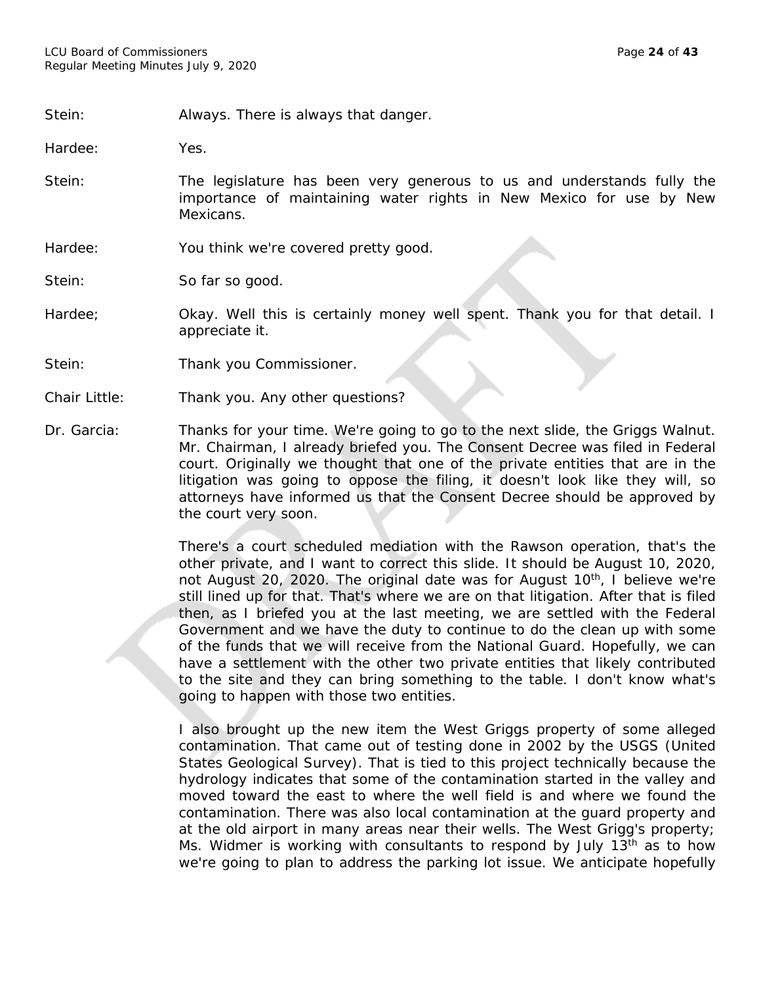Stein: Always. There is always that danger.

Hardee: Yes.

Stein: The legislature has been very generous to us and understands fully the importance of maintaining water rights in New Mexico for use by New Mexicans.

Hardee: You think we're covered pretty good.

Stein: So far so good.

- Hardee; **Okay.** Well this is certainly money well spent. Thank you for that detail. I appreciate it.
- Stein: Thank you Commissioner.
- Chair Little: Thank you. Any other questions?
- Dr. Garcia: Thanks for your time. We're going to go to the next slide, the Griggs Walnut. Mr. Chairman, I already briefed you. The Consent Decree was filed in Federal court. Originally we thought that one of the private entities that are in the litigation was going to oppose the filing, it doesn't look like they will, so attorneys have informed us that the Consent Decree should be approved by the court very soon.

There's a court scheduled mediation with the Rawson operation, that's the other private, and I want to correct this slide. It should be August 10, 2020, not August 20, 2020. The original date was for August 10<sup>th</sup>, I believe we're still lined up for that. That's where we are on that litigation. After that is filed then, as I briefed you at the last meeting, we are settled with the Federal Government and we have the duty to continue to do the clean up with some of the funds that we will receive from the National Guard. Hopefully, we can have a settlement with the other two private entities that likely contributed to the site and they can bring something to the table. I don't know what's going to happen with those two entities.

I also brought up the new item the West Griggs property of some alleged contamination. That came out of testing done in 2002 by the USGS (United States Geological Survey). That is tied to this project technically because the hydrology indicates that some of the contamination started in the valley and moved toward the east to where the well field is and where we found the contamination. There was also local contamination at the guard property and at the old airport in many areas near their wells. The West Grigg's property; Ms. Widmer is working with consultants to respond by July  $13<sup>th</sup>$  as to how we're going to plan to address the parking lot issue. We anticipate hopefully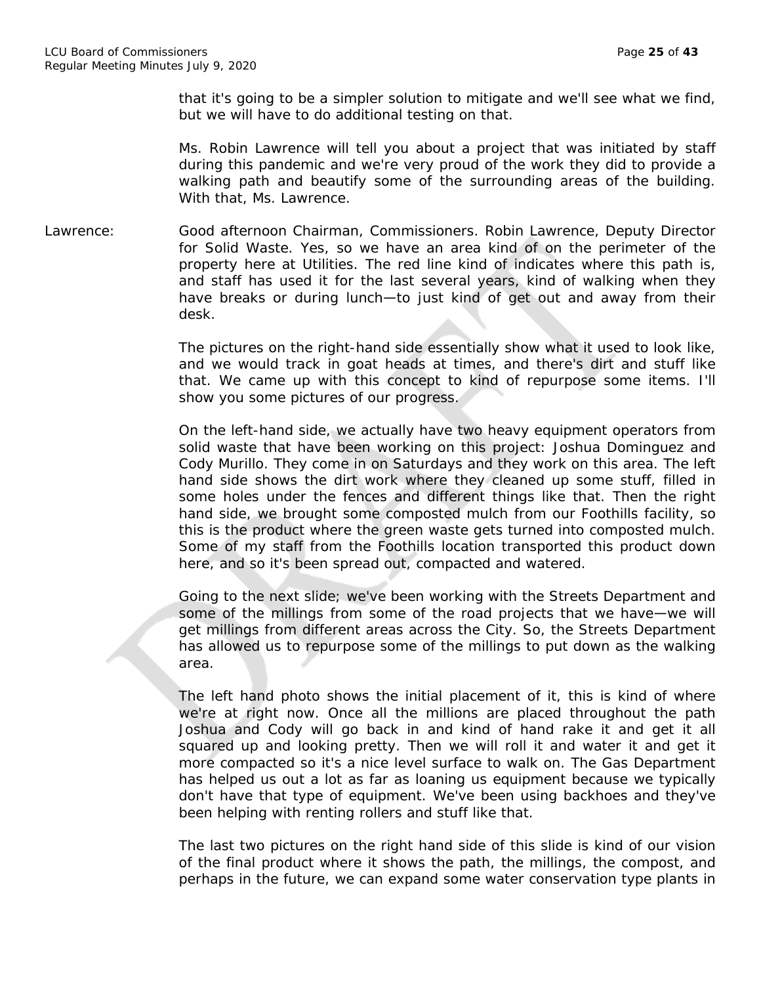that it's going to be a simpler solution to mitigate and we'll see what we find, but we will have to do additional testing on that.

Ms. Robin Lawrence will tell you about a project that was initiated by staff during this pandemic and we're very proud of the work they did to provide a walking path and beautify some of the surrounding areas of the building. With that, Ms. Lawrence.

Lawrence: Good afternoon Chairman, Commissioners. Robin Lawrence, Deputy Director for Solid Waste. Yes, so we have an area kind of on the perimeter of the property here at Utilities. The red line kind of indicates where this path is, and staff has used it for the last several years, kind of walking when they have breaks or during lunch—to just kind of get out and away from their desk.

> The pictures on the right-hand side essentially show what it used to look like, and we would track in goat heads at times, and there's dirt and stuff like that. We came up with this concept to kind of repurpose some items. I'll show you some pictures of our progress.

> On the left-hand side, we actually have two heavy equipment operators from solid waste that have been working on this project: Joshua Dominguez and Cody Murillo. They come in on Saturdays and they work on this area. The left hand side shows the dirt work where they cleaned up some stuff, filled in some holes under the fences and different things like that. Then the right hand side, we brought some composted mulch from our Foothills facility, so this is the product where the green waste gets turned into composted mulch. Some of my staff from the Foothills location transported this product down here, and so it's been spread out, compacted and watered.

> Going to the next slide; we've been working with the Streets Department and some of the millings from some of the road projects that we have—we will get millings from different areas across the City. So, the Streets Department has allowed us to repurpose some of the millings to put down as the walking area.

> The left hand photo shows the initial placement of it, this is kind of where we're at right now. Once all the millions are placed throughout the path Joshua and Cody will go back in and kind of hand rake it and get it all squared up and looking pretty. Then we will roll it and water it and get it more compacted so it's a nice level surface to walk on. The Gas Department has helped us out a lot as far as loaning us equipment because we typically don't have that type of equipment. We've been using backhoes and they've been helping with renting rollers and stuff like that.

> The last two pictures on the right hand side of this slide is kind of our vision of the final product where it shows the path, the millings, the compost, and perhaps in the future, we can expand some water conservation type plants in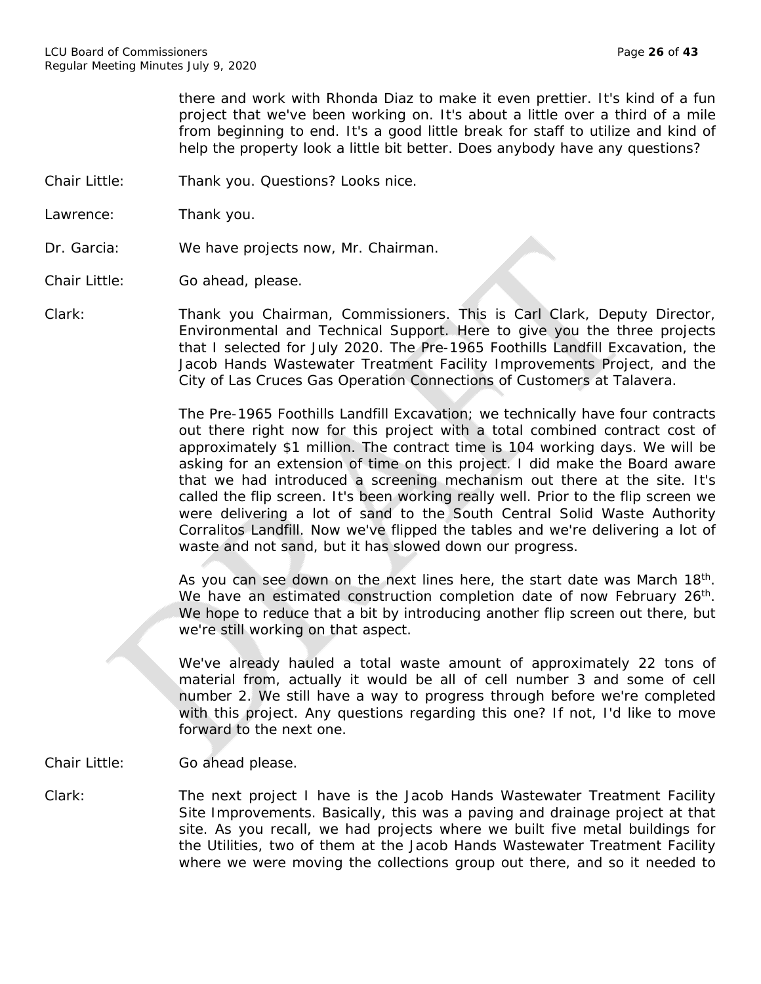there and work with Rhonda Diaz to make it even prettier. It's kind of a fun project that we've been working on. It's about a little over a third of a mile from beginning to end. It's a good little break for staff to utilize and kind of help the property look a little bit better. Does anybody have any questions?

- Chair Little: Thank you. Questions? Looks nice.
- Lawrence: Thank you.
- Dr. Garcia: We have projects now, Mr. Chairman.

Chair Little: Go ahead, please.

Clark: Thank you Chairman, Commissioners. This is Carl Clark, Deputy Director, Environmental and Technical Support. Here to give you the three projects that I selected for July 2020. The Pre-1965 Foothills Landfill Excavation, the Jacob Hands Wastewater Treatment Facility Improvements Project, and the City of Las Cruces Gas Operation Connections of Customers at Talavera.

> The Pre-1965 Foothills Landfill Excavation; we technically have four contracts out there right now for this project with a total combined contract cost of approximately \$1 million. The contract time is 104 working days. We will be asking for an extension of time on this project. I did make the Board aware that we had introduced a screening mechanism out there at the site. It's called the flip screen. It's been working really well. Prior to the flip screen we were delivering a lot of sand to the South Central Solid Waste Authority Corralitos Landfill. Now we've flipped the tables and we're delivering a lot of waste and not sand, but it has slowed down our progress.

> As you can see down on the next lines here, the start date was March 18<sup>th</sup>. We have an estimated construction completion date of now February 26<sup>th</sup>. We hope to reduce that a bit by introducing another flip screen out there, but we're still working on that aspect.

> We've already hauled a total waste amount of approximately 22 tons of material from, actually it would be all of cell number 3 and some of cell number 2. We still have a way to progress through before we're completed with this project. Any questions regarding this one? If not, I'd like to move forward to the next one.

Chair Little: Go ahead please.

Clark: The next project I have is the Jacob Hands Wastewater Treatment Facility Site Improvements. Basically, this was a paving and drainage project at that site. As you recall, we had projects where we built five metal buildings for the Utilities, two of them at the Jacob Hands Wastewater Treatment Facility where we were moving the collections group out there, and so it needed to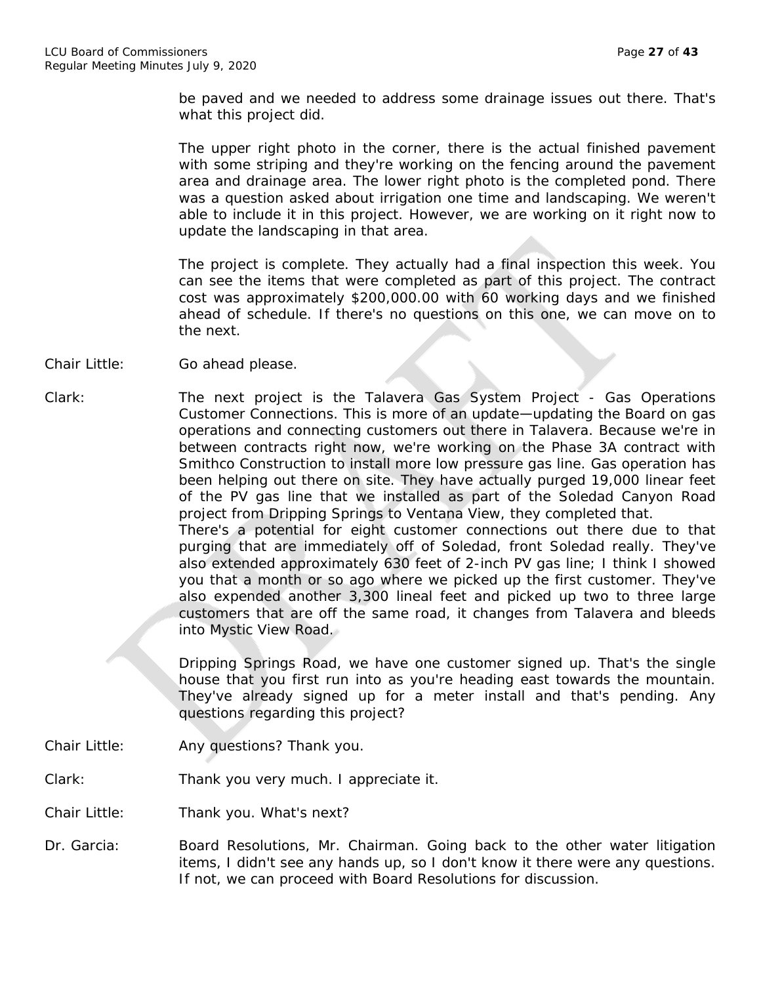be paved and we needed to address some drainage issues out there. That's what this project did.

The upper right photo in the corner, there is the actual finished pavement with some striping and they're working on the fencing around the pavement area and drainage area. The lower right photo is the completed pond. There was a question asked about irrigation one time and landscaping. We weren't able to include it in this project. However, we are working on it right now to update the landscaping in that area.

The project is complete. They actually had a final inspection this week. You can see the items that were completed as part of this project. The contract cost was approximately \$200,000.00 with 60 working days and we finished ahead of schedule. If there's no questions on this one, we can move on to the next.

- Chair Little: Go ahead please.
- Clark: The next project is the Talavera Gas System Project Gas Operations Customer Connections. This is more of an update—updating the Board on gas operations and connecting customers out there in Talavera. Because we're in between contracts right now, we're working on the Phase 3A contract with Smithco Construction to install more low pressure gas line. Gas operation has been helping out there on site. They have actually purged 19,000 linear feet of the PV gas line that we installed as part of the Soledad Canyon Road project from Dripping Springs to Ventana View, they completed that. There's a potential for eight customer connections out there due to that purging that are immediately off of Soledad, front Soledad really. They've also extended approximately 630 feet of 2-inch PV gas line; I think I showed you that a month or so ago where we picked up the first customer. They've also expended another 3,300 lineal feet and picked up two to three large customers that are off the same road, it changes from Talavera and bleeds into Mystic View Road.

Dripping Springs Road, we have one customer signed up. That's the single house that you first run into as you're heading east towards the mountain. They've already signed up for a meter install and that's pending. Any questions regarding this project?

Chair Little: Any questions? Thank you.

Clark: Thank you very much. I appreciate it.

Chair Little: Thank you. What's next?

Dr. Garcia: Board Resolutions, Mr. Chairman. Going back to the other water litigation items, I didn't see any hands up, so I don't know it there were any questions. If not, we can proceed with Board Resolutions for discussion.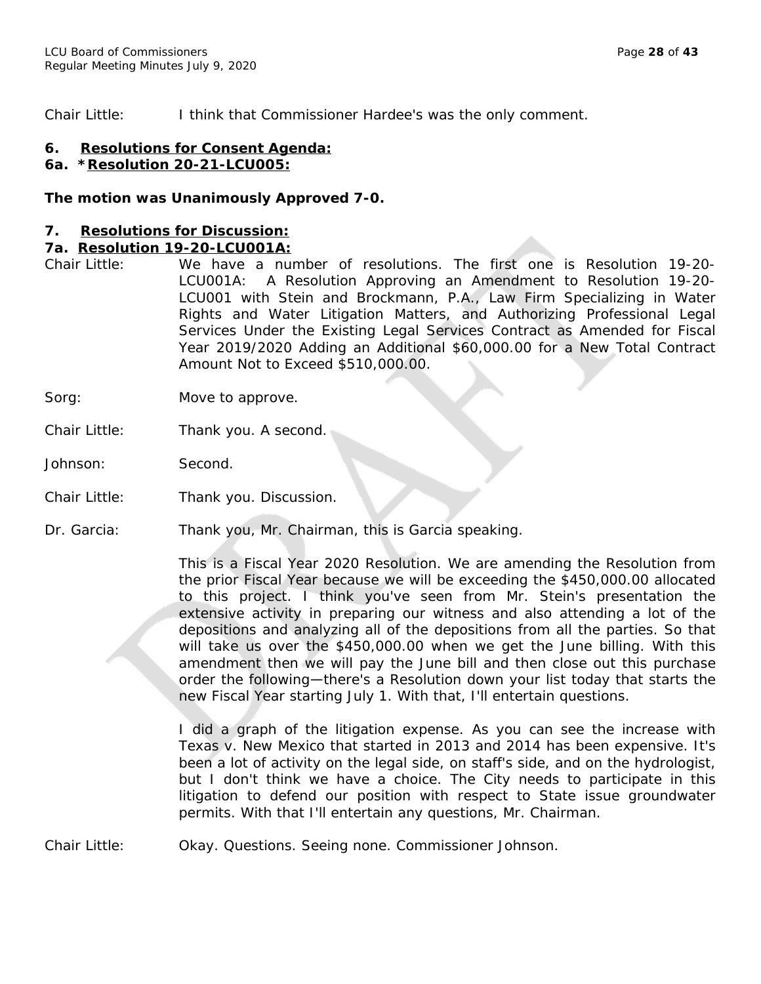Chair Little: I think that Commissioner Hardee's was the only comment.

### **6. Resolutions for Consent Agenda:**

## **6a. \*Resolution 20-21-LCU005:**

#### *The motion was Unanimously Approved 7-0.*

#### **7. Resolutions for Discussion:**

#### **7a. Resolution 19-20-LCU001A:**

- Chair Little: We have a number of resolutions. The first one is Resolution 19-20- LCU001A: A Resolution Approving an Amendment to Resolution 19-20- LCU001 with Stein and Brockmann, P.A., Law Firm Specializing in Water Rights and Water Litigation Matters, and Authorizing Professional Legal Services Under the Existing Legal Services Contract as Amended for Fiscal Year 2019/2020 Adding an Additional \$60,000.00 for a New Total Contract Amount Not to Exceed \$510,000.00.
- Sorg: Move to approve.
- Chair Little: Thank you. A second.
- Johnson: Second.
- Chair Little: Thank you. Discussion.
- Dr. Garcia: Thank you, Mr. Chairman, this is Garcia speaking.

This is a Fiscal Year 2020 Resolution. We are amending the Resolution from the prior Fiscal Year because we will be exceeding the \$450,000.00 allocated to this project. I think you've seen from Mr. Stein's presentation the extensive activity in preparing our witness and also attending a lot of the depositions and analyzing all of the depositions from all the parties. So that will take us over the \$450,000.00 when we get the June billing. With this amendment then we will pay the June bill and then close out this purchase order the following—there's a Resolution down your list today that starts the new Fiscal Year starting July 1. With that, I'll entertain questions.

I did a graph of the litigation expense. As you can see the increase with Texas v. New Mexico that started in 2013 and 2014 has been expensive. It's been a lot of activity on the legal side, on staff's side, and on the hydrologist, but I don't think we have a choice. The City needs to participate in this litigation to defend our position with respect to State issue groundwater permits. With that I'll entertain any questions, Mr. Chairman.

Chair Little: Okay. Questions. Seeing none. Commissioner Johnson.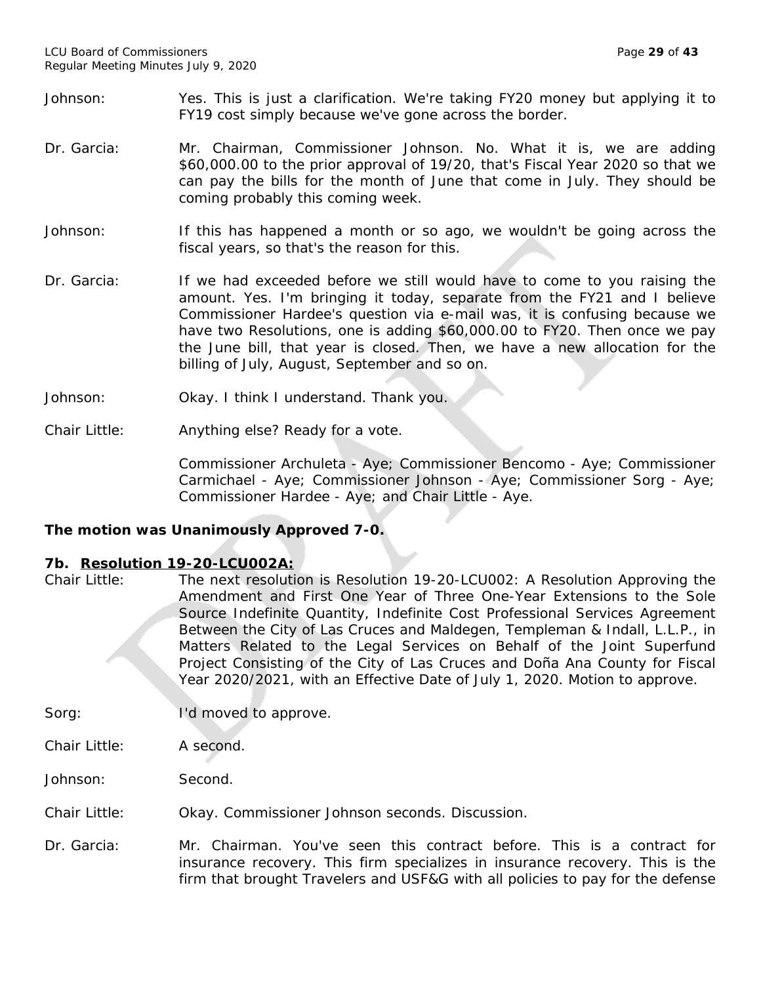- Johnson: Yes. This is just a clarification. We're taking FY20 money but applying it to FY19 cost simply because we've gone across the border.
- Dr. Garcia: Mr. Chairman, Commissioner Johnson. No. What it is, we are adding \$60,000.00 to the prior approval of 19/20, that's Fiscal Year 2020 so that we can pay the bills for the month of June that come in July. They should be coming probably this coming week.
- Johnson: If this has happened a month or so ago, we wouldn't be going across the fiscal years, so that's the reason for this.
- Dr. Garcia: If we had exceeded before we still would have to come to you raising the amount. Yes. I'm bringing it today, separate from the FY21 and I believe Commissioner Hardee's question via e-mail was, it is confusing because we have two Resolutions, one is adding \$60,000.00 to FY20. Then once we pay the June bill, that year is closed. Then, we have a new allocation for the billing of July, August, September and so on.
- Johnson: Okay. I think I understand. Thank you.
- Chair Little: Anything else? Ready for a vote.

Commissioner Archuleta - Aye; Commissioner Bencomo - Aye; Commissioner Carmichael - Aye; Commissioner Johnson - Aye; Commissioner Sorg - Aye; Commissioner Hardee - Aye; and Chair Little - Aye.

## *The motion was Unanimously Approved 7-0.*

## **7b. Resolution 19-20-LCU002A:**

Chair Little: The next resolution is Resolution 19-20-LCU002: A Resolution Approving the Amendment and First One Year of Three One-Year Extensions to the Sole Source Indefinite Quantity, Indefinite Cost Professional Services Agreement Between the City of Las Cruces and Maldegen, Templeman & Indall, L.L.P., in Matters Related to the Legal Services on Behalf of the Joint Superfund Project Consisting of the City of Las Cruces and Doña Ana County for Fiscal Year 2020/2021, with an Effective Date of July 1, 2020. Motion to approve.

Sorg: I'd moved to approve.

Chair Little: A second.

Johnson: Second.

Chair Little: Okay. Commissioner Johnson seconds. Discussion.

Dr. Garcia: Mr. Chairman. You've seen this contract before. This is a contract for insurance recovery. This firm specializes in insurance recovery. This is the firm that brought Travelers and USF&G with all policies to pay for the defense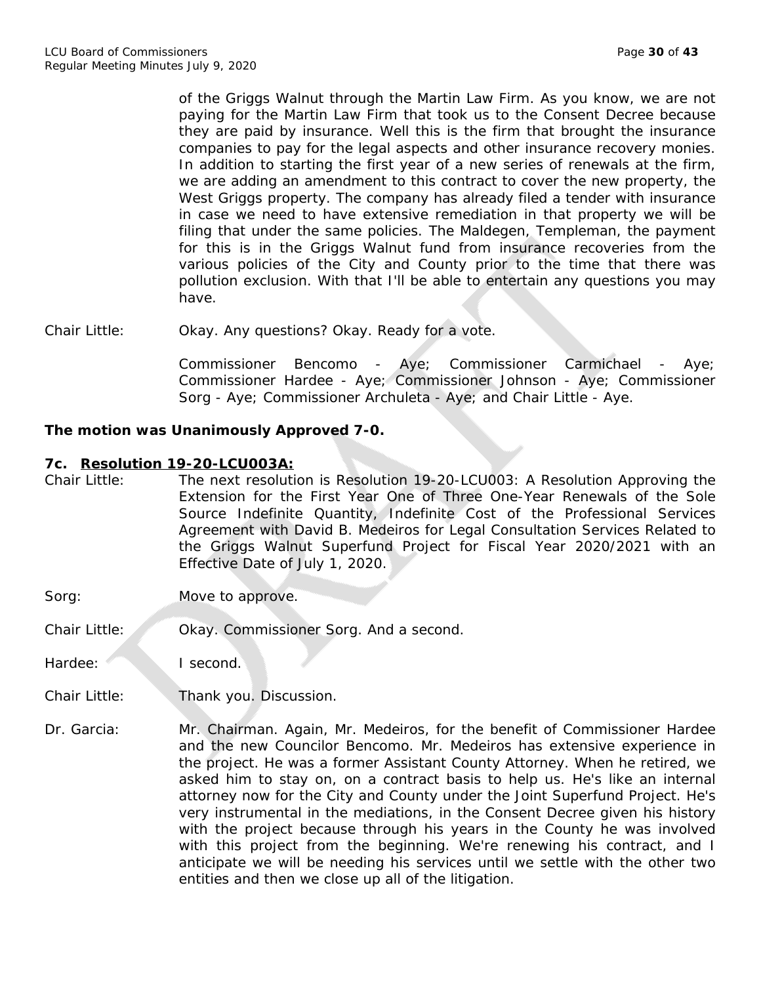of the Griggs Walnut through the Martin Law Firm. As you know, we are not paying for the Martin Law Firm that took us to the Consent Decree because they are paid by insurance. Well this is the firm that brought the insurance companies to pay for the legal aspects and other insurance recovery monies. In addition to starting the first year of a new series of renewals at the firm, we are adding an amendment to this contract to cover the new property, the West Griggs property. The company has already filed a tender with insurance in case we need to have extensive remediation in that property we will be filing that under the same policies. The Maldegen, Templeman, the payment for this is in the Griggs Walnut fund from insurance recoveries from the various policies of the City and County prior to the time that there was pollution exclusion. With that I'll be able to entertain any questions you may have.

Chair Little: Okay. Any questions? Okay. Ready for a vote.

Commissioner Bencomo - Aye; Commissioner Carmichael - Aye; Commissioner Hardee - Aye; Commissioner Johnson - Aye; Commissioner Sorg - Aye; Commissioner Archuleta - Aye; and Chair Little - Aye.

## *The motion was Unanimously Approved 7-0.*

#### **7c. Resolution 19-20-LCU003A:**

- Chair Little: The next resolution is Resolution 19-20-LCU003: A Resolution Approving the Extension for the First Year One of Three One-Year Renewals of the Sole Source Indefinite Quantity, Indefinite Cost of the Professional Services Agreement with David B. Medeiros for Legal Consultation Services Related to the Griggs Walnut Superfund Project for Fiscal Year 2020/2021 with an Effective Date of July 1, 2020.
- Sorg: Move to approve.
- Chair Little: Okay. Commissioner Sorg. And a second.

Hardee: I second.

- Chair Little: Thank you. Discussion.
- Dr. Garcia: Mr. Chairman. Again, Mr. Medeiros, for the benefit of Commissioner Hardee and the new Councilor Bencomo. Mr. Medeiros has extensive experience in the project. He was a former Assistant County Attorney. When he retired, we asked him to stay on, on a contract basis to help us. He's like an internal attorney now for the City and County under the Joint Superfund Project. He's very instrumental in the mediations, in the Consent Decree given his history with the project because through his years in the County he was involved with this project from the beginning. We're renewing his contract, and I anticipate we will be needing his services until we settle with the other two entities and then we close up all of the litigation.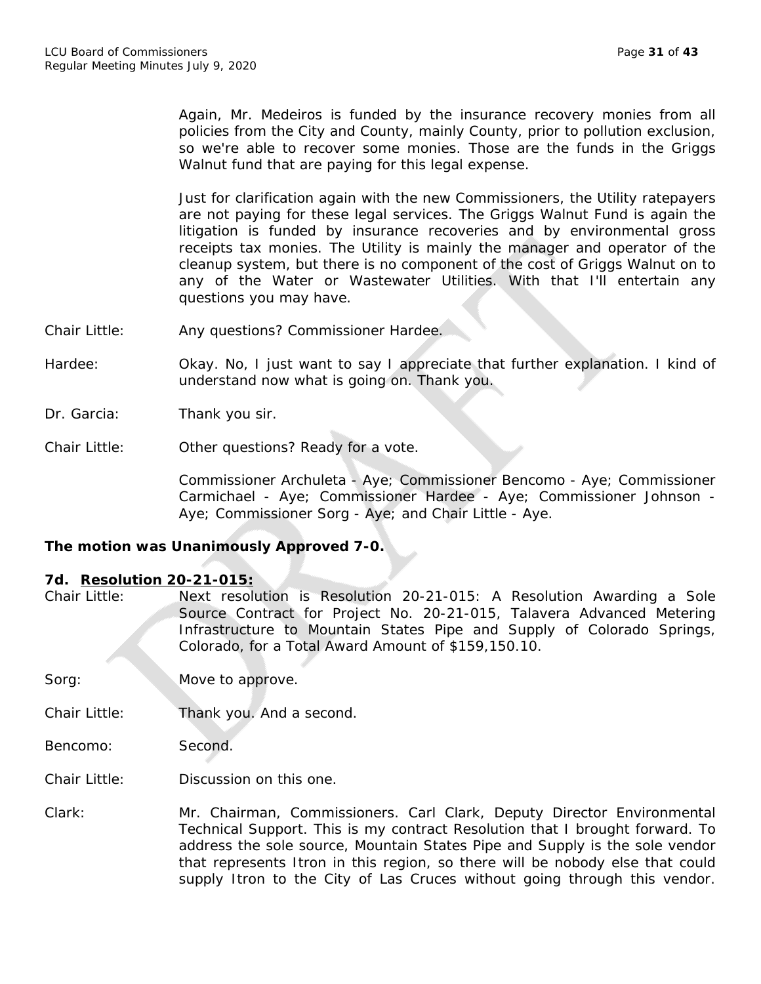Again, Mr. Medeiros is funded by the insurance recovery monies from all policies from the City and County, mainly County, prior to pollution exclusion, so we're able to recover some monies. Those are the funds in the Griggs Walnut fund that are paying for this legal expense.

Just for clarification again with the new Commissioners, the Utility ratepayers are not paying for these legal services. The Griggs Walnut Fund is again the litigation is funded by insurance recoveries and by environmental gross receipts tax monies. The Utility is mainly the manager and operator of the cleanup system, but there is no component of the cost of Griggs Walnut on to any of the Water or Wastewater Utilities. With that I'll entertain any questions you may have.

- Chair Little: Any questions? Commissioner Hardee.
- Hardee: Okay. No, I just want to say I appreciate that further explanation. I kind of understand now what is going on. Thank you.

Dr. Garcia: Thank you sir.

Chair Little: Other questions? Ready for a vote.

Commissioner Archuleta - Aye; Commissioner Bencomo - Aye; Commissioner Carmichael - Aye; Commissioner Hardee - Aye; Commissioner Johnson - Aye; Commissioner Sorg - Aye; and Chair Little - Aye.

## *The motion was Unanimously Approved 7-0.*

## **7d. Resolution 20-21-015:**

| Chair Little: | Next resolution is Resolution 20-21-015: A Resolution Awarding a Sole  |
|---------------|------------------------------------------------------------------------|
|               | Source Contract for Project No. 20-21-015, Talavera Advanced Metering  |
|               | Infrastructure to Mountain States Pipe and Supply of Colorado Springs, |
|               | Colorado, for a Total Award Amount of \$159,150.10.                    |

Sorg: Move to approve.

Chair Little: Thank you. And a second.

Bencomo: Second.

Chair Little: Discussion on this one.

Clark: Mr. Chairman, Commissioners. Carl Clark, Deputy Director Environmental Technical Support. This is my contract Resolution that I brought forward. To address the sole source, Mountain States Pipe and Supply is the sole vendor that represents Itron in this region, so there will be nobody else that could supply Itron to the City of Las Cruces without going through this vendor.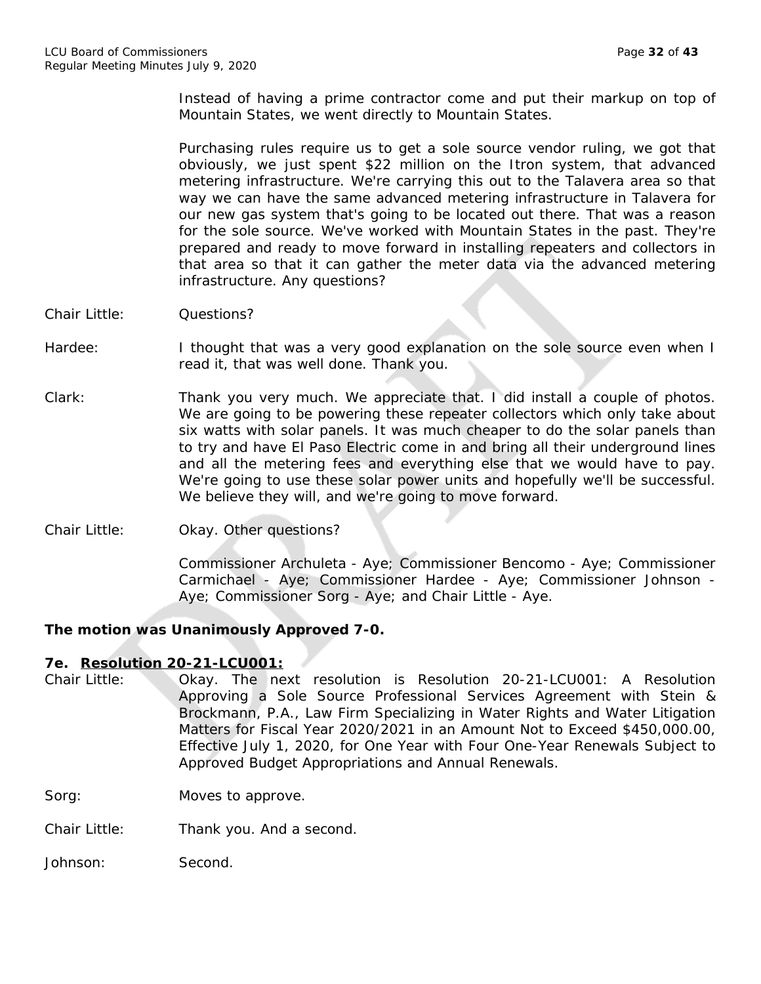Instead of having a prime contractor come and put their markup on top of Mountain States, we went directly to Mountain States.

Purchasing rules require us to get a sole source vendor ruling, we got that obviously, we just spent \$22 million on the Itron system, that advanced metering infrastructure. We're carrying this out to the Talavera area so that way we can have the same advanced metering infrastructure in Talavera for our new gas system that's going to be located out there. That was a reason for the sole source. We've worked with Mountain States in the past. They're prepared and ready to move forward in installing repeaters and collectors in that area so that it can gather the meter data via the advanced metering infrastructure. Any questions?

- Chair Little: Questions?
- Hardee: I thought that was a very good explanation on the sole source even when I read it, that was well done. Thank you.
- Clark: Thank you very much. We appreciate that. I did install a couple of photos. We are going to be powering these repeater collectors which only take about six watts with solar panels. It was much cheaper to do the solar panels than to try and have El Paso Electric come in and bring all their underground lines and all the metering fees and everything else that we would have to pay. We're going to use these solar power units and hopefully we'll be successful. We believe they will, and we're going to move forward.
- Chair Little: Okay. Other questions?

Commissioner Archuleta - Aye; Commissioner Bencomo - Aye; Commissioner Carmichael - Aye; Commissioner Hardee - Aye; Commissioner Johnson - Aye; Commissioner Sorg - Aye; and Chair Little - Aye.

## *The motion was Unanimously Approved 7-0.*

## **7e. Resolution 20-21-LCU001:**

- Chair Little: Okay. The next resolution is Resolution 20-21-LCU001: A Resolution Approving a Sole Source Professional Services Agreement with Stein & Brockmann, P.A., Law Firm Specializing in Water Rights and Water Litigation Matters for Fiscal Year 2020/2021 in an Amount Not to Exceed \$450,000.00, Effective July 1, 2020, for One Year with Four One-Year Renewals Subject to Approved Budget Appropriations and Annual Renewals.
- Sorg: Moves to approve.

Chair Little: Thank you. And a second.

Johnson: Second.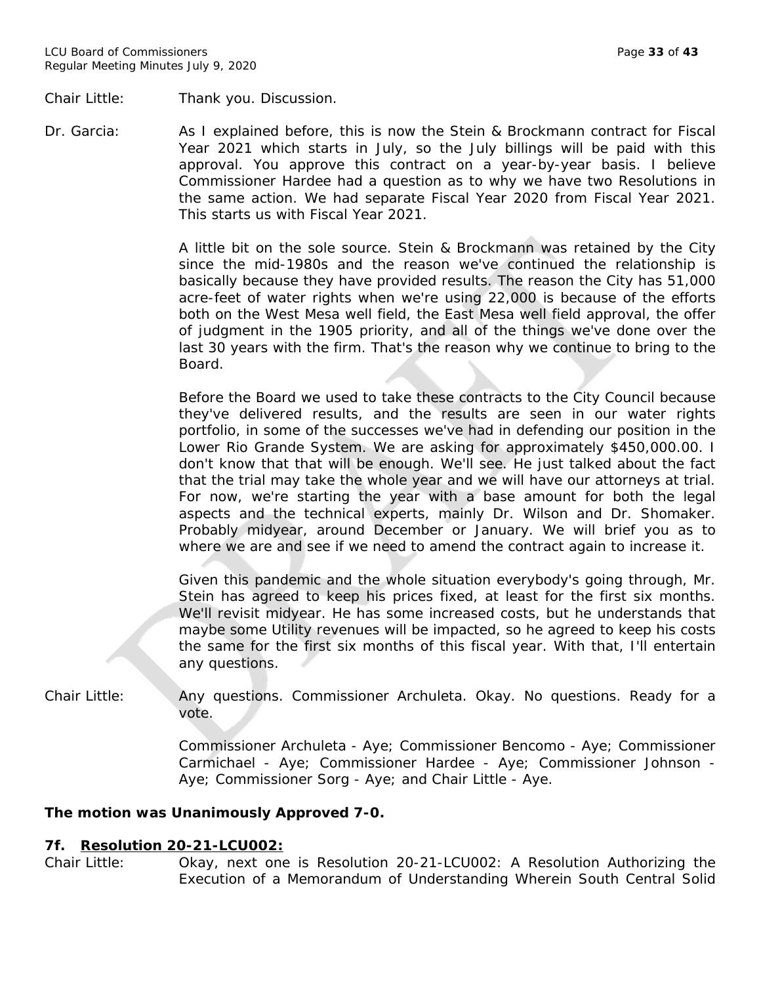Chair Little: Thank you. Discussion.

Dr. Garcia: As I explained before, this is now the Stein & Brockmann contract for Fiscal Year 2021 which starts in July, so the July billings will be paid with this approval. You approve this contract on a year-by-year basis. I believe Commissioner Hardee had a question as to why we have two Resolutions in the same action. We had separate Fiscal Year 2020 from Fiscal Year 2021. This starts us with Fiscal Year 2021.

> A little bit on the sole source. Stein & Brockmann was retained by the City since the mid-1980s and the reason we've continued the relationship is basically because they have provided results. The reason the City has 51,000 acre-feet of water rights when we're using 22,000 is because of the efforts both on the West Mesa well field, the East Mesa well field approval, the offer of judgment in the 1905 priority, and all of the things we've done over the last 30 years with the firm. That's the reason why we continue to bring to the Board.

> Before the Board we used to take these contracts to the City Council because they've delivered results, and the results are seen in our water rights portfolio, in some of the successes we've had in defending our position in the Lower Rio Grande System. We are asking for approximately \$450,000.00. I don't know that that will be enough. We'll see. He just talked about the fact that the trial may take the whole year and we will have our attorneys at trial. For now, we're starting the year with a base amount for both the legal aspects and the technical experts, mainly Dr. Wilson and Dr. Shomaker. Probably midyear, around December or January. We will brief you as to where we are and see if we need to amend the contract again to increase it.

> Given this pandemic and the whole situation everybody's going through, Mr. Stein has agreed to keep his prices fixed, at least for the first six months. We'll revisit midyear. He has some increased costs, but he understands that maybe some Utility revenues will be impacted, so he agreed to keep his costs the same for the first six months of this fiscal year. With that, I'll entertain any questions.

Chair Little: Any questions. Commissioner Archuleta. Okay. No questions. Ready for a vote.

> Commissioner Archuleta - Aye; Commissioner Bencomo - Aye; Commissioner Carmichael - Aye; Commissioner Hardee - Aye; Commissioner Johnson - Aye; Commissioner Sorg - Aye; and Chair Little - Aye.

## *The motion was Unanimously Approved 7-0.*

#### **7f. Resolution 20-21-LCU002:**

Chair Little: Okay, next one is Resolution 20-21-LCU002: A Resolution Authorizing the Execution of a Memorandum of Understanding Wherein South Central Solid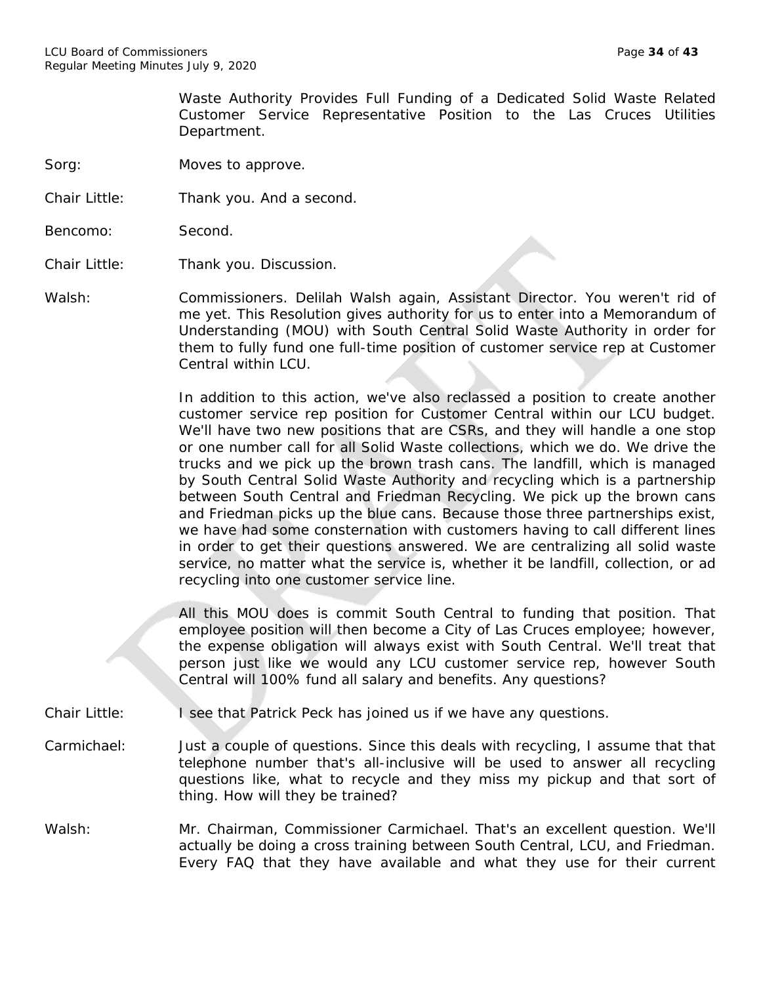Waste Authority Provides Full Funding of a Dedicated Solid Waste Related Customer Service Representative Position to the Las Cruces Utilities Department.

Sorg: Moves to approve.

Chair Little: Thank you. And a second.

Bencomo: Second.

Chair Little: Thank you. Discussion.

Walsh: Commissioners. Delilah Walsh again, Assistant Director. You weren't rid of me yet. This Resolution gives authority for us to enter into a Memorandum of Understanding (MOU) with South Central Solid Waste Authority in order for them to fully fund one full-time position of customer service rep at Customer Central within LCU.

> In addition to this action, we've also reclassed a position to create another customer service rep position for Customer Central within our LCU budget. We'll have two new positions that are CSRs, and they will handle a one stop or one number call for all Solid Waste collections, which we do. We drive the trucks and we pick up the brown trash cans. The landfill, which is managed by South Central Solid Waste Authority and recycling which is a partnership between South Central and Friedman Recycling. We pick up the brown cans and Friedman picks up the blue cans. Because those three partnerships exist, we have had some consternation with customers having to call different lines in order to get their questions answered. We are centralizing all solid waste service, no matter what the service is, whether it be landfill, collection, or ad recycling into one customer service line.

> All this MOU does is commit South Central to funding that position. That employee position will then become a City of Las Cruces employee; however, the expense obligation will always exist with South Central. We'll treat that person just like we would any LCU customer service rep, however South Central will 100% fund all salary and benefits. Any questions?

Chair Little: I see that Patrick Peck has joined us if we have any questions.

- Carmichael: Just a couple of questions. Since this deals with recycling, I assume that that telephone number that's all-inclusive will be used to answer all recycling questions like, what to recycle and they miss my pickup and that sort of thing. How will they be trained?
- Walsh: Mr. Chairman, Commissioner Carmichael. That's an excellent question. We'll actually be doing a cross training between South Central, LCU, and Friedman. Every FAQ that they have available and what they use for their current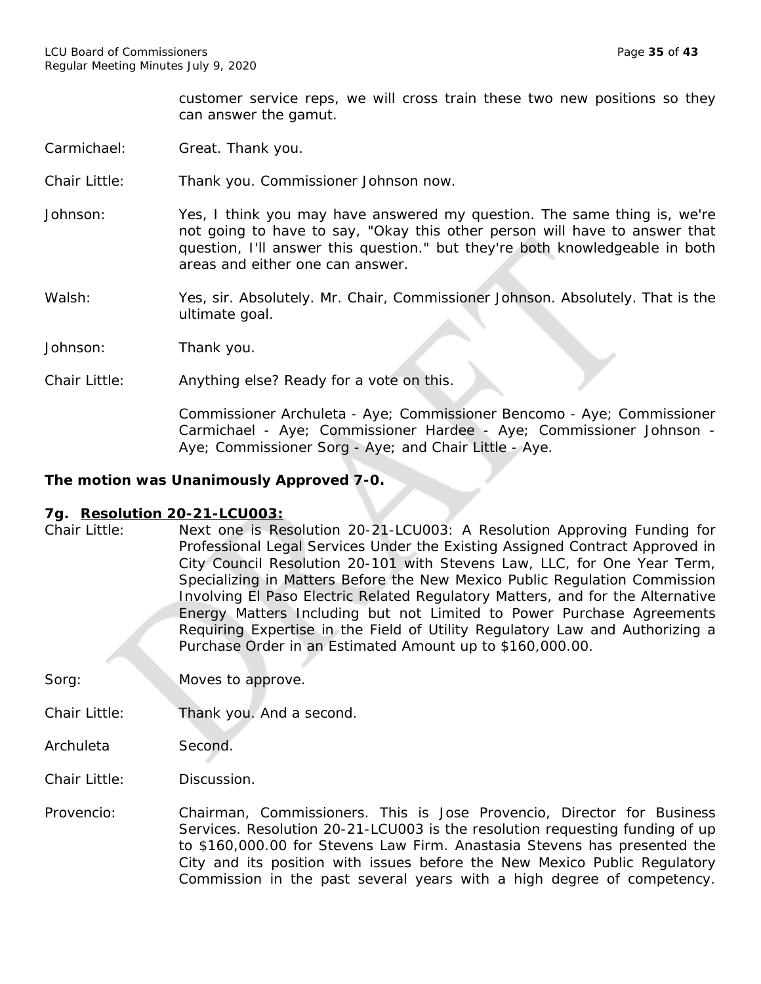customer service reps, we will cross train these two new positions so they can answer the gamut.

- Carmichael: Great. Thank you.
- Chair Little: Thank you. Commissioner Johnson now.
- Johnson: Yes, I think you may have answered my question. The same thing is, we're not going to have to say, "Okay this other person will have to answer that question, I'll answer this question." but they're both knowledgeable in both areas and either one can answer.
- Walsh: Yes, sir. Absolutely. Mr. Chair, Commissioner Johnson. Absolutely. That is the ultimate goal.
- Johnson: Thank you.
- Chair Little: Anything else? Ready for a vote on this.

Commissioner Archuleta - Aye; Commissioner Bencomo - Aye; Commissioner Carmichael - Aye; Commissioner Hardee - Aye; Commissioner Johnson - Aye; Commissioner Sorg - Aye; and Chair Little - Aye.

#### *The motion was Unanimously Approved 7-0.*

#### **7g. Resolution 20-21-LCU003:**

- Chair Little: Next one is Resolution 20-21-LCU003: A Resolution Approving Funding for Professional Legal Services Under the Existing Assigned Contract Approved in City Council Resolution 20-101 with Stevens Law, LLC, for One Year Term, Specializing in Matters Before the New Mexico Public Regulation Commission Involving El Paso Electric Related Regulatory Matters, and for the Alternative Energy Matters Including but not Limited to Power Purchase Agreements Requiring Expertise in the Field of Utility Regulatory Law and Authorizing a Purchase Order in an Estimated Amount up to \$160,000.00.
- Sorg: Moves to approve.
- Chair Little: Thank you. And a second.
- Archuleta Second.
- Chair Little: Discussion.
- Provencio: Chairman, Commissioners. This is Jose Provencio, Director for Business Services. Resolution 20-21-LCU003 is the resolution requesting funding of up to \$160,000.00 for Stevens Law Firm. Anastasia Stevens has presented the City and its position with issues before the New Mexico Public Regulatory Commission in the past several years with a high degree of competency.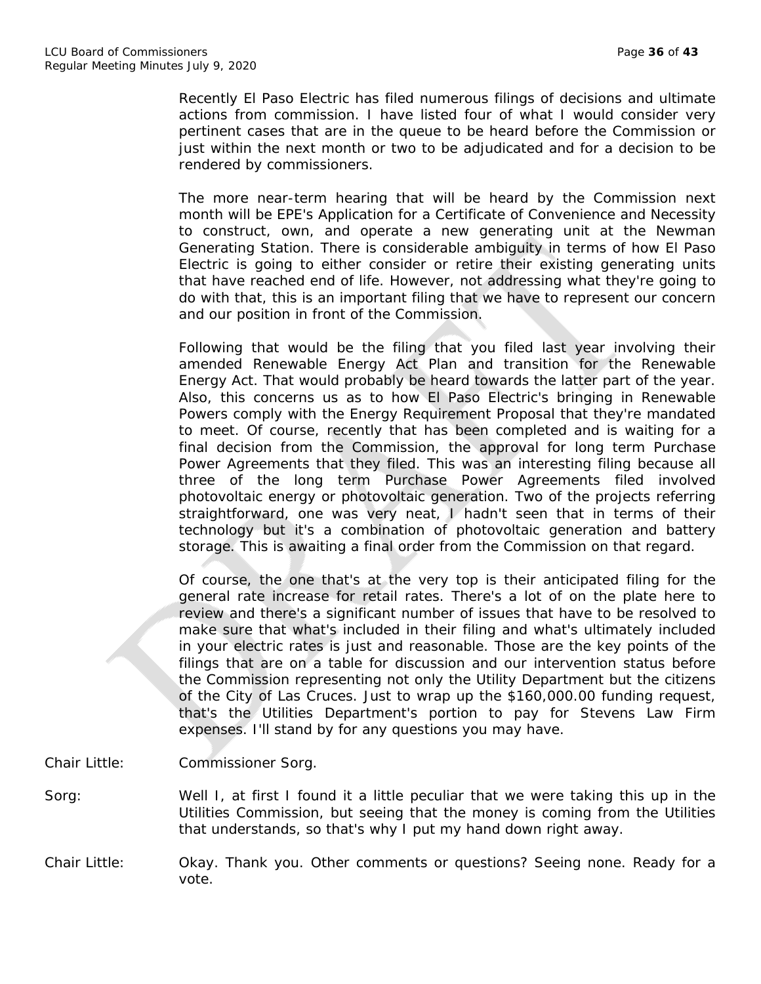Recently El Paso Electric has filed numerous filings of decisions and ultimate actions from commission. I have listed four of what I would consider very pertinent cases that are in the queue to be heard before the Commission or just within the next month or two to be adjudicated and for a decision to be rendered by commissioners.

The more near-term hearing that will be heard by the Commission next month will be EPE's Application for a Certificate of Convenience and Necessity to construct, own, and operate a new generating unit at the Newman Generating Station. There is considerable ambiguity in terms of how El Paso Electric is going to either consider or retire their existing generating units that have reached end of life. However, not addressing what they're going to do with that, this is an important filing that we have to represent our concern and our position in front of the Commission.

Following that would be the filing that you filed last year involving their amended Renewable Energy Act Plan and transition for the Renewable Energy Act. That would probably be heard towards the latter part of the year. Also, this concerns us as to how El Paso Electric's bringing in Renewable Powers comply with the Energy Requirement Proposal that they're mandated to meet. Of course, recently that has been completed and is waiting for a final decision from the Commission, the approval for long term Purchase Power Agreements that they filed. This was an interesting filing because all three of the long term Purchase Power Agreements filed involved photovoltaic energy or photovoltaic generation. Two of the projects referring straightforward, one was very neat, I hadn't seen that in terms of their technology but it's a combination of photovoltaic generation and battery storage. This is awaiting a final order from the Commission on that regard.

Of course, the one that's at the very top is their anticipated filing for the general rate increase for retail rates. There's a lot of on the plate here to review and there's a significant number of issues that have to be resolved to make sure that what's included in their filing and what's ultimately included in your electric rates is just and reasonable. Those are the key points of the filings that are on a table for discussion and our intervention status before the Commission representing not only the Utility Department but the citizens of the City of Las Cruces. Just to wrap up the \$160,000.00 funding request, that's the Utilities Department's portion to pay for Stevens Law Firm expenses. I'll stand by for any questions you may have.

- Chair Little: Commissioner Sorg.
- Sorg: Well I, at first I found it a little peculiar that we were taking this up in the Utilities Commission, but seeing that the money is coming from the Utilities that understands, so that's why I put my hand down right away.
- Chair Little: Okay. Thank you. Other comments or questions? Seeing none. Ready for a vote.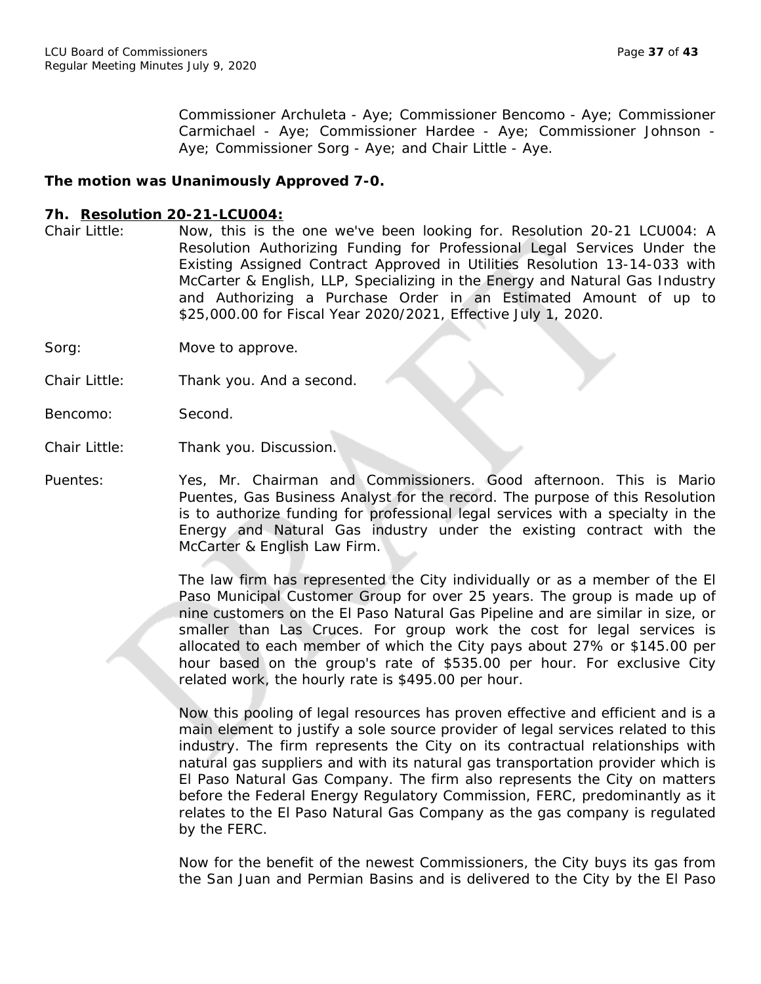Commissioner Archuleta - Aye; Commissioner Bencomo - Aye; Commissioner Carmichael - Aye; Commissioner Hardee - Aye; Commissioner Johnson - Aye; Commissioner Sorg - Aye; and Chair Little - Aye.

## *The motion was Unanimously Approved 7-0.*

### **7h. Resolution 20-21-LCU004:**

- Chair Little: Now, this is the one we've been looking for. Resolution 20-21 LCU004: A Resolution Authorizing Funding for Professional Legal Services Under the Existing Assigned Contract Approved in Utilities Resolution 13-14-033 with McCarter & English, LLP, Specializing in the Energy and Natural Gas Industry and Authorizing a Purchase Order in an Estimated Amount of up to \$25,000.00 for Fiscal Year 2020/2021, Effective July 1, 2020.
- Sorg: Move to approve.
- Chair Little: Thank you. And a second.
- Bencomo: Second.
- Chair Little: Thank you. Discussion.

Puentes: Yes, Mr. Chairman and Commissioners. Good afternoon. This is Mario Puentes, Gas Business Analyst for the record. The purpose of this Resolution is to authorize funding for professional legal services with a specialty in the Energy and Natural Gas industry under the existing contract with the McCarter & English Law Firm.

> The law firm has represented the City individually or as a member of the El Paso Municipal Customer Group for over 25 years. The group is made up of nine customers on the El Paso Natural Gas Pipeline and are similar in size, or smaller than Las Cruces. For group work the cost for legal services is allocated to each member of which the City pays about 27% or \$145.00 per hour based on the group's rate of \$535.00 per hour. For exclusive City related work, the hourly rate is \$495.00 per hour.

> Now this pooling of legal resources has proven effective and efficient and is a main element to justify a sole source provider of legal services related to this industry. The firm represents the City on its contractual relationships with natural gas suppliers and with its natural gas transportation provider which is El Paso Natural Gas Company. The firm also represents the City on matters before the Federal Energy Regulatory Commission, FERC, predominantly as it relates to the El Paso Natural Gas Company as the gas company is regulated by the FERC.

> Now for the benefit of the newest Commissioners, the City buys its gas from the San Juan and Permian Basins and is delivered to the City by the El Paso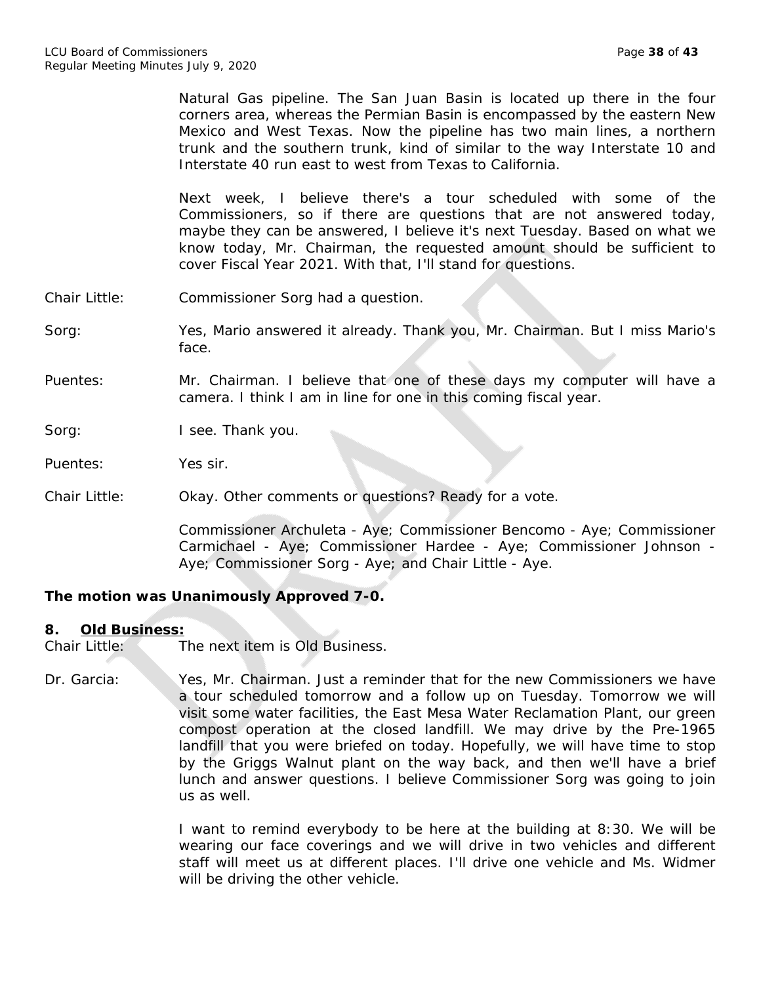Natural Gas pipeline. The San Juan Basin is located up there in the four corners area, whereas the Permian Basin is encompassed by the eastern New Mexico and West Texas. Now the pipeline has two main lines, a northern trunk and the southern trunk, kind of similar to the way Interstate 10 and Interstate 40 run east to west from Texas to California.

Next week, I believe there's a tour scheduled with some of the Commissioners, so if there are questions that are not answered today, maybe they can be answered, I believe it's next Tuesday. Based on what we know today, Mr. Chairman, the requested amount should be sufficient to cover Fiscal Year 2021. With that, I'll stand for questions.

- Chair Little: Commissioner Sorg had a question.
- Sorg: Yes, Mario answered it already. Thank you, Mr. Chairman. But I miss Mario's face.
- Puentes: Mr. Chairman. I believe that one of these days my computer will have a camera. I think I am in line for one in this coming fiscal year.

Sorg: I see. Thank you.

Puentes: Yes sir.

Chair Little: Okay. Other comments or questions? Ready for a vote.

Commissioner Archuleta - Aye; Commissioner Bencomo - Aye; Commissioner Carmichael - Aye; Commissioner Hardee - Aye; Commissioner Johnson - Aye; Commissioner Sorg - Aye; and Chair Little - Aye.

## *The motion was Unanimously Approved 7-0.*

#### **8. Old Business:**

Chair Little: The next item is Old Business.

Dr. Garcia: Yes, Mr. Chairman. Just a reminder that for the new Commissioners we have a tour scheduled tomorrow and a follow up on Tuesday. Tomorrow we will visit some water facilities, the East Mesa Water Reclamation Plant, our green compost operation at the closed landfill. We may drive by the Pre-1965 landfill that you were briefed on today. Hopefully, we will have time to stop by the Griggs Walnut plant on the way back, and then we'll have a brief lunch and answer questions. I believe Commissioner Sorg was going to join us as well.

> I want to remind everybody to be here at the building at 8:30. We will be wearing our face coverings and we will drive in two vehicles and different staff will meet us at different places. I'll drive one vehicle and Ms. Widmer will be driving the other vehicle.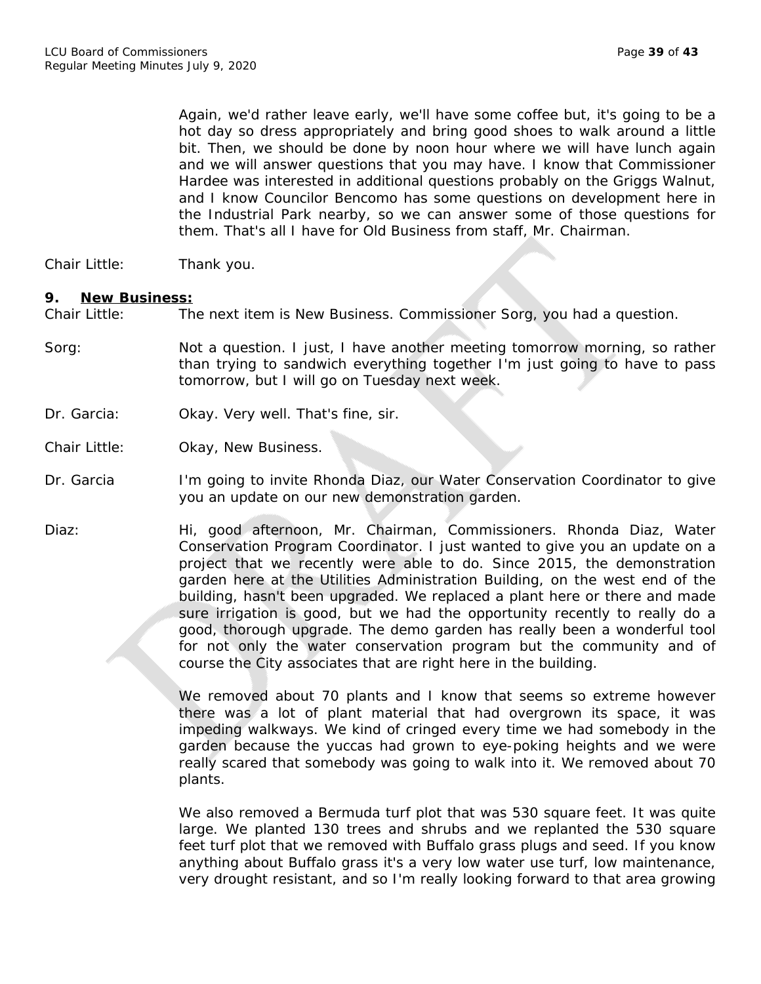Again, we'd rather leave early, we'll have some coffee but, it's going to be a hot day so dress appropriately and bring good shoes to walk around a little bit. Then, we should be done by noon hour where we will have lunch again and we will answer questions that you may have. I know that Commissioner Hardee was interested in additional questions probably on the Griggs Walnut, and I know Councilor Bencomo has some questions on development here in the Industrial Park nearby, so we can answer some of those questions for them. That's all I have for Old Business from staff, Mr. Chairman.

Chair Little: Thank you.

#### **9. New Business:**

Chair Little: The next item is New Business. Commissioner Sorg, you had a question.

- Sorg: Not a question. I just, I have another meeting tomorrow morning, so rather than trying to sandwich everything together I'm just going to have to pass tomorrow, but I will go on Tuesday next week.
- Dr. Garcia: Okay. Very well. That's fine, sir.
- Chair Little: Okay, New Business.
- Dr. Garcia I'm going to invite Rhonda Diaz, our Water Conservation Coordinator to give you an update on our new demonstration garden.
- Diaz: Hi, good afternoon, Mr. Chairman, Commissioners. Rhonda Diaz, Water Conservation Program Coordinator. I just wanted to give you an update on a project that we recently were able to do. Since 2015, the demonstration garden here at the Utilities Administration Building, on the west end of the building, hasn't been upgraded. We replaced a plant here or there and made sure irrigation is good, but we had the opportunity recently to really do a good, thorough upgrade. The demo garden has really been a wonderful tool for not only the water conservation program but the community and of course the City associates that are right here in the building.

We removed about 70 plants and I know that seems so extreme however there was a lot of plant material that had overgrown its space, it was impeding walkways. We kind of cringed every time we had somebody in the garden because the yuccas had grown to eye-poking heights and we were really scared that somebody was going to walk into it. We removed about 70 plants.

We also removed a Bermuda turf plot that was 530 square feet. It was quite large. We planted 130 trees and shrubs and we replanted the 530 square feet turf plot that we removed with Buffalo grass plugs and seed. If you know anything about Buffalo grass it's a very low water use turf, low maintenance, very drought resistant, and so I'm really looking forward to that area growing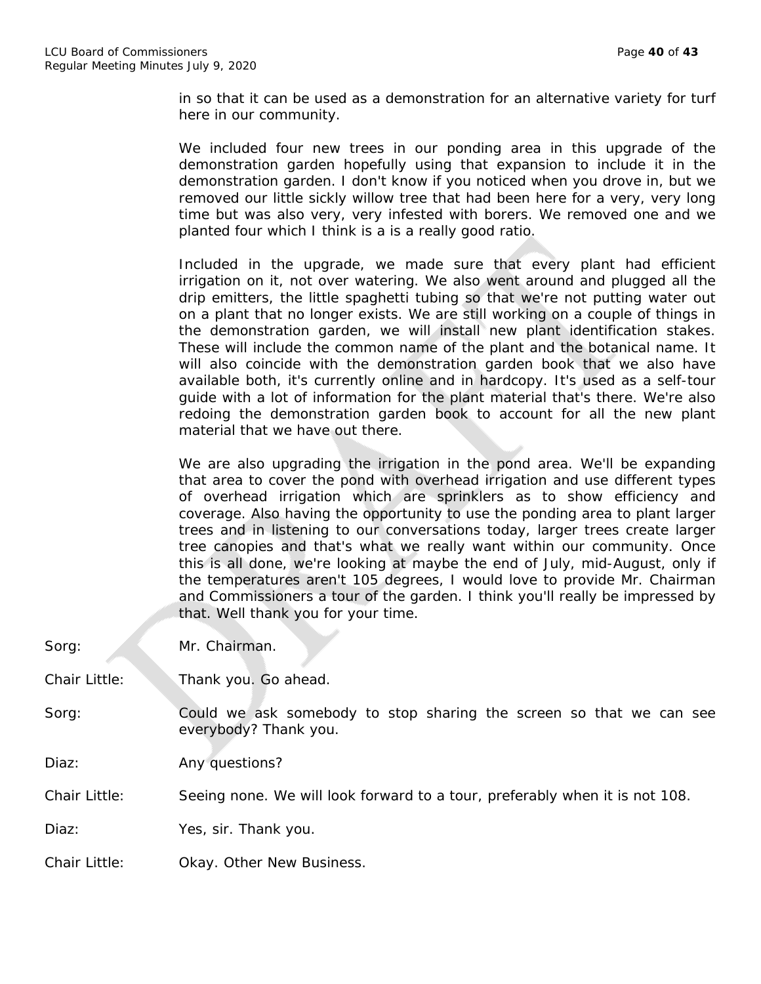in so that it can be used as a demonstration for an alternative variety for turf here in our community.

We included four new trees in our ponding area in this upgrade of the demonstration garden hopefully using that expansion to include it in the demonstration garden. I don't know if you noticed when you drove in, but we removed our little sickly willow tree that had been here for a very, very long time but was also very, very infested with borers. We removed one and we planted four which I think is a is a really good ratio.

Included in the upgrade, we made sure that every plant had efficient irrigation on it, not over watering. We also went around and plugged all the drip emitters, the little spaghetti tubing so that we're not putting water out on a plant that no longer exists. We are still working on a couple of things in the demonstration garden, we will install new plant identification stakes. These will include the common name of the plant and the botanical name. It will also coincide with the demonstration garden book that we also have available both, it's currently online and in hardcopy. It's used as a self-tour guide with a lot of information for the plant material that's there. We're also redoing the demonstration garden book to account for all the new plant material that we have out there.

We are also upgrading the irrigation in the pond area. We'll be expanding that area to cover the pond with overhead irrigation and use different types of overhead irrigation which are sprinklers as to show efficiency and coverage. Also having the opportunity to use the ponding area to plant larger trees and in listening to our conversations today, larger trees create larger tree canopies and that's what we really want within our community. Once this is all done, we're looking at maybe the end of July, mid-August, only if the temperatures aren't 105 degrees, I would love to provide Mr. Chairman and Commissioners a tour of the garden. I think you'll really be impressed by that. Well thank you for your time.

| Sorg:         | Mr. Chairman.                                                                                |
|---------------|----------------------------------------------------------------------------------------------|
| Chair Little: | Thank you. Go ahead.                                                                         |
| Sorg:         | Could we ask somebody to stop sharing the screen so that we can see<br>everybody? Thank you. |
| Diaz:         | Any questions?                                                                               |
| Chair Little: | Seeing none. We will look forward to a tour, preferably when it is not 108.                  |
| Diaz:         | Yes, sir. Thank you.                                                                         |
| Chair Little: | Okay. Other New Business.                                                                    |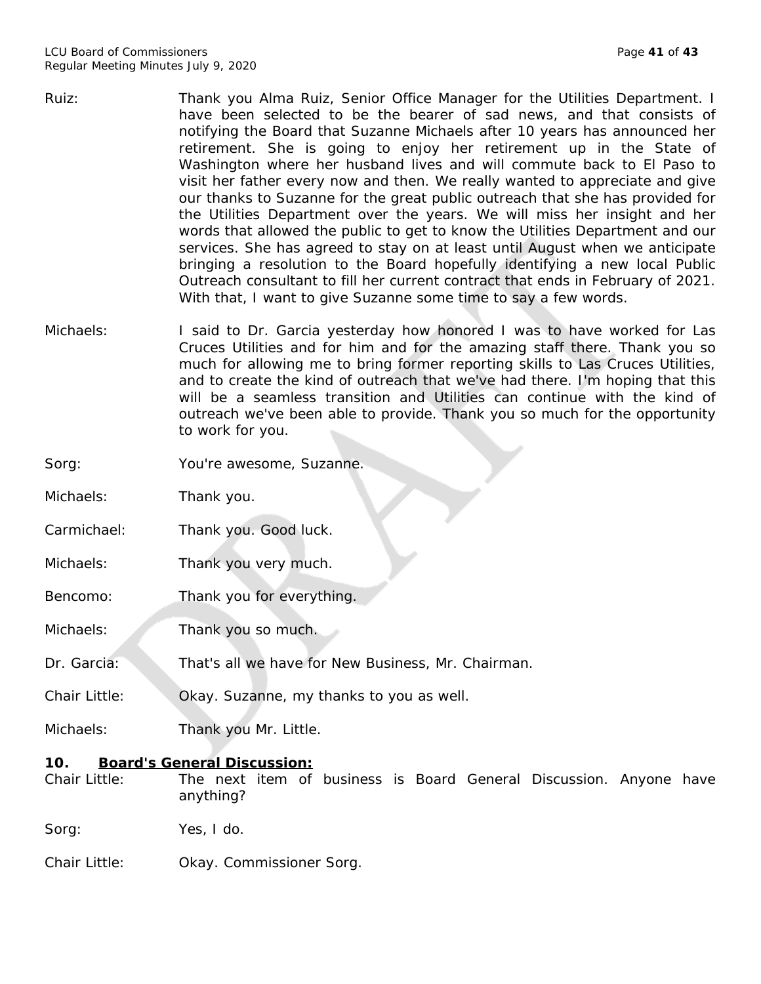- Ruiz: Thank you Alma Ruiz, Senior Office Manager for the Utilities Department. I have been selected to be the bearer of sad news, and that consists of notifying the Board that Suzanne Michaels after 10 years has announced her retirement. She is going to enjoy her retirement up in the State of Washington where her husband lives and will commute back to El Paso to visit her father every now and then. We really wanted to appreciate and give our thanks to Suzanne for the great public outreach that she has provided for the Utilities Department over the years. We will miss her insight and her words that allowed the public to get to know the Utilities Department and our services. She has agreed to stay on at least until August when we anticipate bringing a resolution to the Board hopefully identifying a new local Public Outreach consultant to fill her current contract that ends in February of 2021. With that, I want to give Suzanne some time to say a few words.
- Michaels: I said to Dr. Garcia yesterday how honored I was to have worked for Las Cruces Utilities and for him and for the amazing staff there. Thank you so much for allowing me to bring former reporting skills to Las Cruces Utilities, and to create the kind of outreach that we've had there. I'm hoping that this will be a seamless transition and Utilities can continue with the kind of outreach we've been able to provide. Thank you so much for the opportunity to work for you.

Sorg: You're awesome, Suzanne.

Michaels: Thank you.

Carmichael: Thank you. Good luck.

Michaels: Thank you very much.

Bencomo: Thank you for everything.

Michaels: Thank you so much.

Dr. Garcia: That's all we have for New Business, Mr. Chairman.

Chair Little: Okay. Suzanne, my thanks to you as well.

Michaels: Thank you Mr. Little.

## **10. Board's General Discussion:**

Chair Little: The next item of business is Board General Discussion. Anyone have anything?

Sorg: Yes, I do.

Chair Little: Okay. Commissioner Sorg.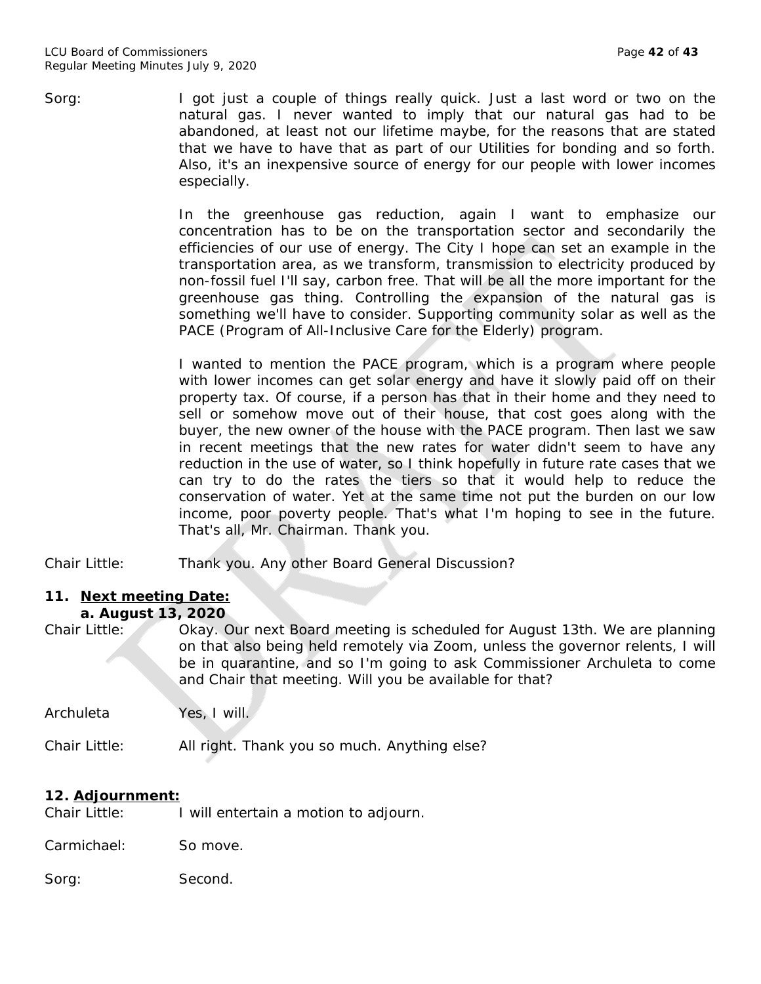Sorg: I got just a couple of things really quick. Just a last word or two on the natural gas. I never wanted to imply that our natural gas had to be abandoned, at least not our lifetime maybe, for the reasons that are stated that we have to have that as part of our Utilities for bonding and so forth. Also, it's an inexpensive source of energy for our people with lower incomes especially.

> In the greenhouse gas reduction, again I want to emphasize our concentration has to be on the transportation sector and secondarily the efficiencies of our use of energy. The City I hope can set an example in the transportation area, as we transform, transmission to electricity produced by non-fossil fuel I'll say, carbon free. That will be all the more important for the greenhouse gas thing. Controlling the expansion of the natural gas is something we'll have to consider. Supporting community solar as well as the PACE (Program of All-Inclusive Care for the Elderly) program.

> I wanted to mention the PACE program, which is a program where people with lower incomes can get solar energy and have it slowly paid off on their property tax. Of course, if a person has that in their home and they need to sell or somehow move out of their house, that cost goes along with the buyer, the new owner of the house with the PACE program. Then last we saw in recent meetings that the new rates for water didn't seem to have any reduction in the use of water, so I think hopefully in future rate cases that we can try to do the rates the tiers so that it would help to reduce the conservation of water. Yet at the same time not put the burden on our low income, poor poverty people. That's what I'm hoping to see in the future. That's all, Mr. Chairman. Thank you.

Chair Little: Thank you. Any other Board General Discussion?

## **11. Next meeting Date: a. August 13, 2020**

Chair Little: Okay. Our next Board meeting is scheduled for August 13th. We are planning on that also being held remotely via Zoom, unless the governor relents, I will be in quarantine, and so I'm going to ask Commissioner Archuleta to come and Chair that meeting. Will you be available for that?

Archuleta Yes, I will.

Chair Little: All right. Thank you so much. Anything else?

## **12. Adjournment:**

Chair Little: I will entertain a motion to adjourn.

Carmichael: So move.

Sorg: Second.